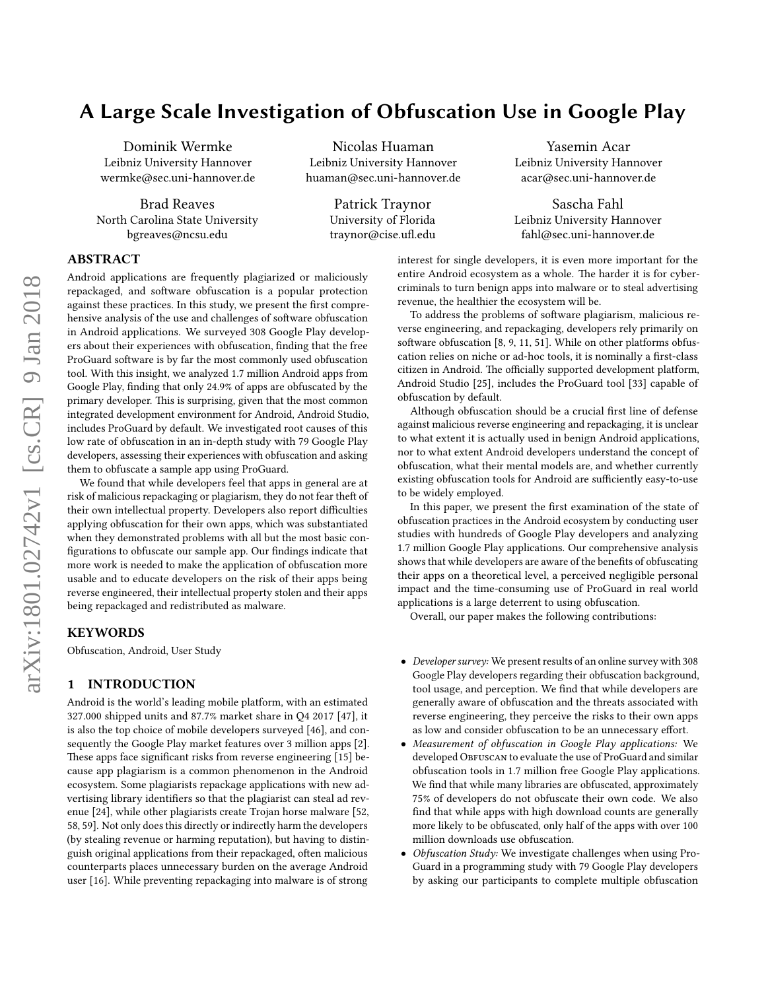# A Large Scale Investigation of Obfuscation Use in Google Play

Dominik Wermke Leibniz University Hannover wermke@sec.uni-hannover.de

Brad Reaves North Carolina State University bgreaves@ncsu.edu

Nicolas Huaman Leibniz University Hannover huaman@sec.uni-hannover.de

> Patrick Traynor University of Florida traynor@cise.ufl.edu

Yasemin Acar Leibniz University Hannover acar@sec.uni-hannover.de

Sascha Fahl Leibniz University Hannover fahl@sec.uni-hannover.de

## ABSTRACT

Android applications are frequently plagiarized or maliciously repackaged, and software obfuscation is a popular protection against these practices. In this study, we present the first comprehensive analysis of the use and challenges of software obfuscation in Android applications. We surveyed 308 Google Play developers about their experiences with obfuscation, finding that the free ProGuard software is by far the most commonly used obfuscation tool. With this insight, we analyzed 1.7 million Android apps from Google Play, finding that only 24.9% of apps are obfuscated by the primary developer. This is surprising, given that the most common integrated development environment for Android, Android Studio, includes ProGuard by default. We investigated root causes of this low rate of obfuscation in an in-depth study with 79 Google Play developers, assessing their experiences with obfuscation and asking them to obfuscate a sample app using ProGuard.

We found that while developers feel that apps in general are at risk of malicious repackaging or plagiarism, they do not fear theft of their own intellectual property. Developers also report difficulties applying obfuscation for their own apps, which was substantiated when they demonstrated problems with all but the most basic con figurations to obfuscate our sample app. Our findings indicate that more work is needed to make the application of obfuscation more usable and to educate developers on the risk of their apps being reverse engineered, their intellectual property stolen and their apps being repackaged and redistributed as malware.

## **KEYWORDS**

Obfuscation, Android, User Study

## 1 INTRODUCTION

Android is the world's leading mobile platform, with an estimated 327.000 shipped units and 87.7% market share in Q4 2017 [\[47\]](#page-11-0), it is also the top choice of mobile developers surveyed [\[46\]](#page-11-1), and consequently the Google Play market features over 3 million apps [\[2\]](#page-10-0). These apps face significant risks from reverse engineering [\[15\]](#page-10-1) because app plagiarism is a common phenomenon in the Android ecosystem. Some plagiarists repackage applications with new advertising library identifiers so that the plagiarist can steal ad revenue [\[24\]](#page-11-2), while other plagiarists create Trojan horse malware [\[52,](#page-11-3) [58,](#page-11-4) [59\]](#page-11-5). Not only does this directly or indirectly harm the developers (by stealing revenue or harming reputation), but having to distinguish original applications from their repackaged, often malicious counterparts places unnecessary burden on the average Android user [\[16\]](#page-10-2). While preventing repackaging into malware is of strong

interest for single developers, it is even more important for the entire Android ecosystem as a whole. The harder it is for cybercriminals to turn benign apps into malware or to steal advertising revenue, the healthier the ecosystem will be.

To address the problems of software plagiarism, malicious reverse engineering, and repackaging, developers rely primarily on software obfuscation  $[8, 9, 11, 51]$  $[8, 9, 11, 51]$  $[8, 9, 11, 51]$  $[8, 9, 11, 51]$  $[8, 9, 11, 51]$  $[8, 9, 11, 51]$  $[8, 9, 11, 51]$ . While on other platforms obfuscation relies on niche or ad-hoc tools, it is nominally a first-class citizen in Android. The officially supported development platform, Android Studio [\[25\]](#page-11-7), includes the ProGuard tool [\[33\]](#page-11-8) capable of obfuscation by default.

Although obfuscation should be a crucial first line of defense against malicious reverse engineering and repackaging, it is unclear to what extent it is actually used in benign Android applications, nor to what extent Android developers understand the concept of obfuscation, what their mental models are, and whether currently existing obfuscation tools for Android are sufficiently easy-to-use to be widely employed.

In this paper, we present the first examination of the state of obfuscation practices in the Android ecosystem by conducting user studies with hundreds of Google Play developers and analyzing 1.7 million Google Play applications. Our comprehensive analysis shows that while developers are aware of the benefits of obfuscating their apps on a theoretical level, a perceived negligible personal impact and the time-consuming use of ProGuard in real world applications is a large deterrent to using obfuscation.

Overall, our paper makes the following contributions:

- Developer survey: We present results of an online survey with 308 Google Play developers regarding their obfuscation background, tool usage, and perception. We find that while developers are generally aware of obfuscation and the threats associated with reverse engineering, they perceive the risks to their own apps as low and consider obfuscation to be an unnecessary effort.
- Measurement of obfuscation in Google Play applications: We developed OBFUSCAN to evaluate the use of ProGuard and similar obfuscation tools in 1.7 million free Google Play applications. We find that while many libraries are obfuscated, approximately 75% of developers do not obfuscate their own code. We also find that while apps with high download counts are generally more likely to be obfuscated, only half of the apps with over 100 million downloads use obfuscation.
- Obfuscation Study: We investigate challenges when using Pro-Guard in a programming study with 79 Google Play developers by asking our participants to complete multiple obfuscation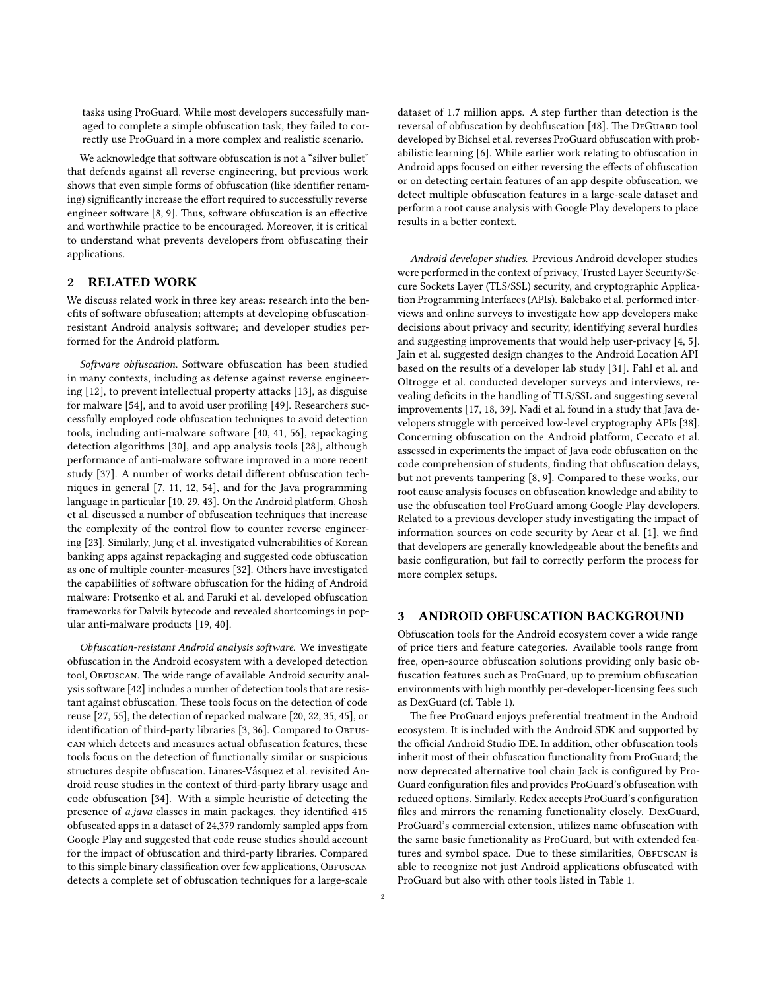tasks using ProGuard. While most developers successfully managed to complete a simple obfuscation task, they failed to correctly use ProGuard in a more complex and realistic scenario.

We acknowledge that software obfuscation is not a "silver bullet" that defends against all reverse engineering, but previous work shows that even simple forms of obfuscation (like identifier renaming) significantly increase the effort required to successfully reverse engineer software [\[8,](#page-10-3) [9\]](#page-10-4). Thus, software obfuscation is an effective and worthwhile practice to be encouraged. Moreover, it is critical to understand what prevents developers from obfuscating their applications.

## 2 RELATED WORK

We discuss related work in three key areas: research into the benefits of software obfuscation; attempts at developing obfuscationresistant Android analysis software; and developer studies performed for the Android platform.

Software obfuscation. Software obfuscation has been studied in many contexts, including as defense against reverse engineer-ing [\[12\]](#page-10-6), to prevent intellectual property attacks [\[13\]](#page-10-7), as disguise for malware [\[54\]](#page-11-9), and to avoid user profiling [\[49\]](#page-11-10). Researchers successfully employed code obfuscation techniques to avoid detection tools, including anti-malware software [\[40,](#page-11-11) [41,](#page-11-12) [56\]](#page-11-13), repackaging detection algorithms [\[30\]](#page-11-14), and app analysis tools [\[28\]](#page-11-15), although performance of anti-malware software improved in a more recent study [\[37\]](#page-11-16). A number of works detail different obfuscation techniques in general [\[7,](#page-10-8) [11,](#page-10-5) [12,](#page-10-6) [54\]](#page-11-9), and for the Java programming language in particular [\[10,](#page-10-9) [29,](#page-11-17) [43\]](#page-11-18). On the Android platform, Ghosh et al. discussed a number of obfuscation techniques that increase the complexity of the control flow to counter reverse engineering [\[23\]](#page-11-19). Similarly, Jung et al. investigated vulnerabilities of Korean banking apps against repackaging and suggested code obfuscation as one of multiple counter-measures [\[32\]](#page-11-20). Others have investigated the capabilities of software obfuscation for the hiding of Android malware: Protsenko et al. and Faruki et al. developed obfuscation frameworks for Dalvik bytecode and revealed shortcomings in popular anti-malware products [\[19,](#page-10-10) [40\]](#page-11-11).

Obfuscation-resistant Android analysis software. We investigate obfuscation in the Android ecosystem with a developed detection tool, OBFUSCAN. The wide range of available Android security anal-ysis software [\[42\]](#page-11-21) includes a number of detection tools that are resistant against obfuscation. These tools focus on the detection of code reuse [\[27,](#page-11-22) [55\]](#page-11-23), the detection of repacked malware [\[20,](#page-10-11) [22,](#page-11-24) [35,](#page-11-25) [45\]](#page-11-26), or identification of third-party libraries [\[3,](#page-10-12) [36\]](#page-11-27). Compared to ObFUScan which detects and measures actual obfuscation features, these tools focus on the detection of functionally similar or suspicious structures despite obfuscation. Linares-Vásquez et al. revisited Android reuse studies in the context of third-party library usage and code obfuscation [\[34\]](#page-11-28). With a simple heuristic of detecting the presence of a.java classes in main packages, they identified 415 obfuscated apps in a dataset of 24,379 randomly sampled apps from Google Play and suggested that code reuse studies should account for the impact of obfuscation and third-party libraries. Compared to this simple binary classification over few applications, OBFUSCAN detects a complete set of obfuscation techniques for a large-scale

dataset of 1.7 million apps. A step further than detection is the reversal of obfuscation by deobfuscation [\[48\]](#page-11-29). The DEGUARD tool developed by Bichsel et al. reverses ProGuard obfuscation with probabilistic learning [\[6\]](#page-10-13). While earlier work relating to obfuscation in Android apps focused on either reversing the effects of obfuscation or on detecting certain features of an app despite obfuscation, we detect multiple obfuscation features in a large-scale dataset and perform a root cause analysis with Google Play developers to place results in a better context.

Android developer studies. Previous Android developer studies were performed in the context of privacy, Trusted Layer Security/Secure Sockets Layer (TLS/SSL) security, and cryptographic Application Programming Interfaces (APIs). Balebako et al. performed interviews and online surveys to investigate how app developers make decisions about privacy and security, identifying several hurdles and suggesting improvements that would help user-privacy [\[4,](#page-10-14) [5\]](#page-10-15). Jain et al. suggested design changes to the Android Location API based on the results of a developer lab study [\[31\]](#page-11-30). Fahl et al. and Oltrogge et al. conducted developer surveys and interviews, revealing deficits in the handling of TLS/SSL and suggesting several improvements [\[17,](#page-10-16) [18,](#page-10-17) [39\]](#page-11-31). Nadi et al. found in a study that Java developers struggle with perceived low-level cryptography APIs [\[38\]](#page-11-32). Concerning obfuscation on the Android platform, Ceccato et al. assessed in experiments the impact of Java code obfuscation on the code comprehension of students, finding that obfuscation delays, but not prevents tampering [\[8,](#page-10-3) [9\]](#page-10-4). Compared to these works, our root cause analysis focuses on obfuscation knowledge and ability to use the obfuscation tool ProGuard among Google Play developers. Related to a previous developer study investigating the impact of information sources on code security by Acar et al. [\[1\]](#page-10-18), we find that developers are generally knowledgeable about the benefits and basic configuration, but fail to correctly perform the process for more complex setups.

#### <span id="page-1-0"></span>3 ANDROID OBFUSCATION BACKGROUND

Obfuscation tools for the Android ecosystem cover a wide range of price tiers and feature categories. Available tools range from free, open-source obfuscation solutions providing only basic obfuscation features such as ProGuard, up to premium obfuscation environments with high monthly per-developer-licensing fees such as DexGuard (cf. Table [1\)](#page-2-0).

The free ProGuard enjoys preferential treatment in the Android ecosystem. It is included with the Android SDK and supported by the official Android Studio IDE. In addition, other obfuscation tools inherit most of their obfuscation functionality from ProGuard; the now deprecated alternative tool chain Jack is configured by Pro-Guard configuration files and provides ProGuard's obfuscation with reduced options. Similarly, Redex accepts ProGuard's configuration files and mirrors the renaming functionality closely. DexGuard, ProGuard's commercial extension, utilizes name obfuscation with the same basic functionality as ProGuard, but with extended features and symbol space. Due to these similarities, OBFUSCAN is able to recognize not just Android applications obfuscated with ProGuard but also with other tools listed in Table [1.](#page-2-0)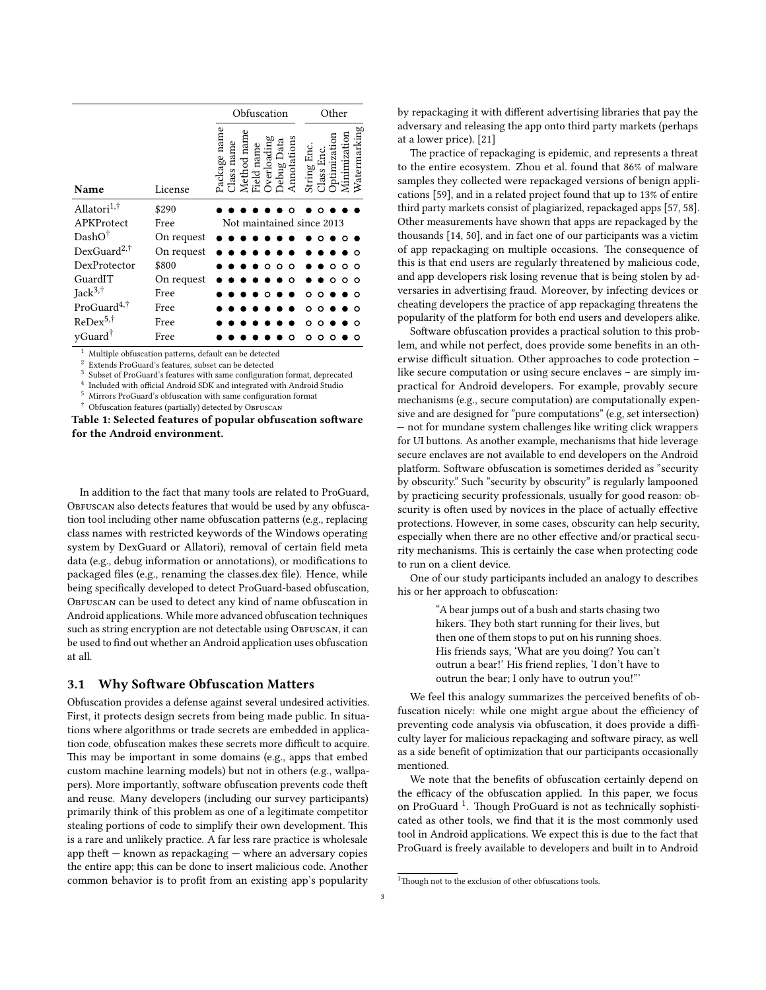<span id="page-2-0"></span>

|                         |            | Obfuscation<br>Other                                                                                                                                    |
|-------------------------|------------|---------------------------------------------------------------------------------------------------------------------------------------------------------|
| Name                    | License    | $N$ atermarking<br>Package name<br>ion<br>Method nam<br>Overloading<br>Annotations<br>Jebug Data<br>Field name<br>Class nam<br>String En<br>Еn<br>lass. |
| Allatori <sup>1,†</sup> | \$290      |                                                                                                                                                         |
| APKProtect              | Free       | Not maintained since 2013                                                                                                                               |
| $DashO^{\dagger}$       | On request |                                                                                                                                                         |
| DexGuard <sup>2,†</sup> | On request |                                                                                                                                                         |
| DexProtector            | \$800      | $\circ$<br>Ο<br>Ω<br>$\circ$<br>Ω<br>O                                                                                                                  |
| GuardIT                 | On request | Ο<br>Ω                                                                                                                                                  |
| Jack $3, \dagger$       | Free       | о<br>Ω                                                                                                                                                  |
| ProGuard <sup>4,†</sup> | Free       | - 0<br>о<br>റ                                                                                                                                           |
| $ReDev^{5,\dagger}$     | Free       | Ω                                                                                                                                                       |
| yGuard <sup>†</sup>     | Free       |                                                                                                                                                         |

 $1$  Multiple obfuscation patterns, default can be detected

Extends ProGuard's features, subset can be detected 3

Subset of ProGuard's features with same configuration format, deprecated <sup>4</sup> Included with official Android SDK and integrated with Android Studio

Mirrors ProGuard's obfuscation with same configuration format

Obfuscation features (partially) detected by OBFUSCAN

Table 1: Selected features of popular obfuscation software for the Android environment.

In addition to the fact that many tools are related to ProGuard, OBFUSCAN also detects features that would be used by any obfuscation tool including other name obfuscation patterns (e.g., replacing class names with restricted keywords of the Windows operating system by DexGuard or Allatori), removal of certain field meta data (e.g., debug information or annotations), or modifications to packaged files (e.g., renaming the classes.dex file). Hence, while being specifically developed to detect ProGuard-based obfuscation, OBFUSCAN can be used to detect any kind of name obfuscation in Android applications. While more advanced obfuscation techniques such as string encryption are not detectable using OBFUSCAN, it can be used to find out whether an Android application uses obfuscation at all.

#### 3.1 Why Software Obfuscation Matters

Obfuscation provides a defense against several undesired activities. First, it protects design secrets from being made public. In situations where algorithms or trade secrets are embedded in application code, obfuscation makes these secrets more difficult to acquire. This may be important in some domains (e.g., apps that embed custom machine learning models) but not in others (e.g., wallpapers). More importantly, software obfuscation prevents code theft and reuse. Many developers (including our survey participants) primarily think of this problem as one of a legitimate competitor stealing portions of code to simplify their own development. This is a rare and unlikely practice. A far less rare practice is wholesale app the $ft$  – known as repackaging – where an adversary copies the entire app; this can be done to insert malicious code. Another common behavior is to profit from an existing app's popularity

by repackaging it with different advertising libraries that pay the adversary and releasing the app onto third party markets (perhaps at a lower price). [\[21\]](#page-11-33)

The practice of repackaging is epidemic, and represents a threat to the entire ecosystem. Zhou et al. found that 86% of malware samples they collected were repackaged versions of benign applications [\[59\]](#page-11-5), and in a related project found that up to 13% of entire third party markets consist of plagiarized, repackaged apps [\[57,](#page-11-34) [58\]](#page-11-4). Other measurements have shown that apps are repackaged by the thousands [\[14,](#page-10-19) [50\]](#page-11-35), and in fact one of our participants was a victim of app repackaging on multiple occasions. The consequence of this is that end users are regularly threatened by malicious code, and app developers risk losing revenue that is being stolen by adversaries in advertising fraud. Moreover, by infecting devices or cheating developers the practice of app repackaging threatens the popularity of the platform for both end users and developers alike.

Software obfuscation provides a practical solution to this problem, and while not perfect, does provide some benefits in an otherwise difficult situation. Other approaches to code protection like secure computation or using secure enclaves – are simply impractical for Android developers. For example, provably secure mechanisms (e.g., secure computation) are computationally expensive and are designed for "pure computations" (e.g, set intersection) — not for mundane system challenges like writing click wrappers for UI buttons. As another example, mechanisms that hide leverage secure enclaves are not available to end developers on the Android platform. Software obfuscation is sometimes derided as "security by obscurity." Such "security by obscurity" is regularly lampooned by practicing security professionals, usually for good reason: obscurity is often used by novices in the place of actually effective protections. However, in some cases, obscurity can help security, especially when there are no other effective and/or practical security mechanisms. This is certainly the case when protecting code to run on a client device.

One of our study participants included an analogy to describes his or her approach to obfuscation:

> "A bear jumps out of a bush and starts chasing two hikers. They both start running for their lives, but then one of them stops to put on his running shoes. His friends says, 'What are you doing? You can't outrun a bear!' His friend replies, 'I don't have to outrun the bear; I only have to outrun you!"'

We feel this analogy summarizes the perceived benefits of obfuscation nicely: while one might argue about the efficiency of preventing code analysis via obfuscation, it does provide a difficulty layer for malicious repackaging and software piracy, as well as a side benefit of optimization that our participants occasionally mentioned.

We note that the benefits of obfuscation certainly depend on the efficacy of the obfuscation applied. In this paper, we focus on ProGuard<sup>[1](#page-2-1)</sup>. Though ProGuard is not as technically sophisticated as other tools, we find that it is the most commonly used tool in Android applications. We expect this is due to the fact that ProGuard is freely available to developers and built in to Android

<span id="page-2-1"></span><sup>&</sup>lt;sup>1</sup>Though not to the exclusion of other obfuscations tools.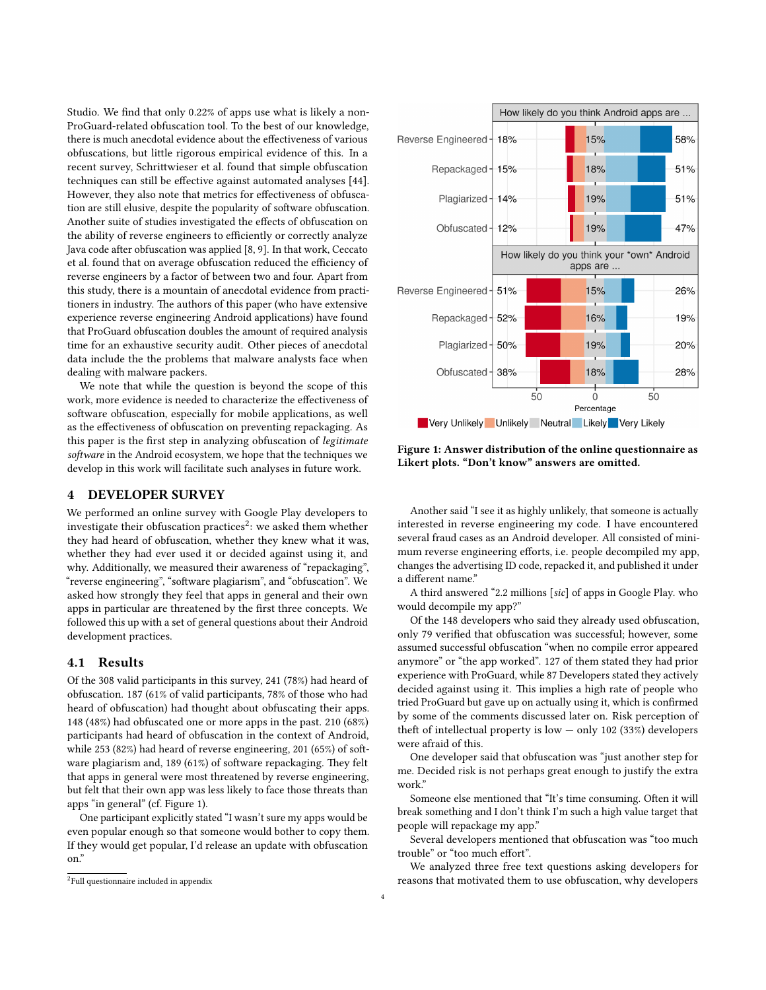Studio. We find that only 0.22% of apps use what is likely a non-ProGuard-related obfuscation tool. To the best of our knowledge, there is much anecdotal evidence about the effectiveness of various obfuscations, but little rigorous empirical evidence of this. In a recent survey, Schrittwieser et al. found that simple obfuscation techniques can still be effective against automated analyses [\[44\]](#page-11-36). However, they also note that metrics for effectiveness of obfuscation are still elusive, despite the popularity of software obfuscation. Another suite of studies investigated the effects of obfuscation on the ability of reverse engineers to efficiently or correctly analyze Java code after obfuscation was applied [\[8,](#page-10-3) [9\]](#page-10-4). In that work, Ceccato et al. found that on average obfuscation reduced the efficiency of reverse engineers by a factor of between two and four. Apart from this study, there is a mountain of anecdotal evidence from practitioners in industry. The authors of this paper (who have extensive experience reverse engineering Android applications) have found that ProGuard obfuscation doubles the amount of required analysis time for an exhaustive security audit. Other pieces of anecdotal data include the the problems that malware analysts face when dealing with malware packers.

We note that while the question is beyond the scope of this work, more evidence is needed to characterize the effectiveness of software obfuscation, especially for mobile applications, as well as the effectiveness of obfuscation on preventing repackaging. As this paper is the first step in analyzing obfuscation of legitimate software in the Android ecosystem, we hope that the techniques we develop in this work will facilitate such analyses in future work.

## 4 DEVELOPER SURVEY

We performed an online survey with Google Play developers to investigate their obfuscation practices $^2$  $^2$ : we asked them whether they had heard of obfuscation, whether they knew what it was, whether they had ever used it or decided against using it, and why. Additionally, we measured their awareness of "repackaging", "reverse engineering", "software plagiarism", and "obfuscation". We asked how strongly they feel that apps in general and their own apps in particular are threatened by the first three concepts. We followed this up with a set of general questions about their Android development practices.

#### 4.1 Results

Of the 308 valid participants in this survey, 241 (78%) had heard of obfuscation. 187 (61% of valid participants, 78% of those who had heard of obfuscation) had thought about obfuscating their apps. 148 (48%) had obfuscated one or more apps in the past. 210 (68%) participants had heard of obfuscation in the context of Android, while  $253 (82%)$  had heard of reverse engineering,  $201 (65%)$  of software plagiarism and, 189 (61%) of software repackaging. They felt that apps in general were most threatened by reverse engineering, but felt that their own app was less likely to face those threats than apps "in general" (cf. Figure [1\)](#page-3-1).

One participant explicitly stated "I wasn't sure my apps would be even popular enough so that someone would bother to copy them. If they would get popular, I'd release an update with obfuscation on."

<span id="page-3-1"></span>

Figure 1: Answer distribution of the online questionnaire as Likert plots. "Don't know" answers are omitted.

Another said "I see it as highly unlikely, that someone is actually interested in reverse engineering my code. I have encountered several fraud cases as an Android developer. All consisted of minimum reverse engineering efforts, i.e. people decompiled my app, changes the advertising ID code, repacked it, and published it under a different name."

A third answered "2.2 millions [sic] of apps in Google Play. who would decompile my app?"

Of the 148 developers who said they already used obfuscation, only 79 verified that obfuscation was successful; however, some assumed successful obfuscation "when no compile error appeared anymore" or "the app worked". 127 of them stated they had prior experience with ProGuard, while 87 Developers stated they actively decided against using it. This implies a high rate of people who tried ProGuard but gave up on actually using it, which is confirmed by some of the comments discussed later on. Risk perception of theft of intellectual property is low  $-$  only 102 (33%) developers were afraid of this.

One developer said that obfuscation was "just another step for me. Decided risk is not perhaps great enough to justify the extra work."

Someone else mentioned that "It's time consuming. Often it will break something and I don't think I'm such a high value target that people will repackage my app."

Several developers mentioned that obfuscation was "too much trouble" or "too much effort".

We analyzed three free text questions asking developers for reasons that motivated them to use obfuscation, why developers

<span id="page-3-0"></span><sup>2</sup> Full questionnaire included in appendix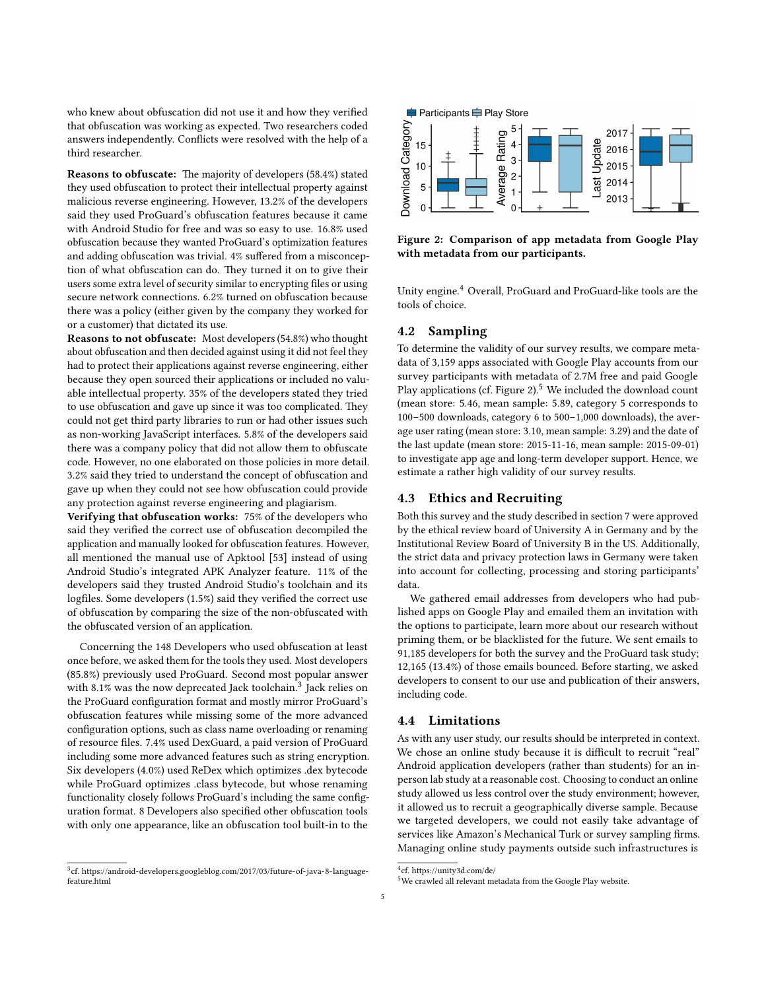who knew about obfuscation did not use it and how they verified that obfuscation was working as expected. Two researchers coded answers independently. Conflicts were resolved with the help of a third researcher.

Reasons to obfuscate: The majority of developers (58.4%) stated they used obfuscation to protect their intellectual property against malicious reverse engineering. However, 13.2% of the developers said they used ProGuard's obfuscation features because it came with Android Studio for free and was so easy to use. 16.8% used obfuscation because they wanted ProGuard's optimization features and adding obfuscation was trivial. 4% suffered from a misconception of what obfuscation can do. They turned it on to give their users some extra level of security similar to encrypting files or using secure network connections. 6.2% turned on obfuscation because there was a policy (either given by the company they worked for or a customer) that dictated its use.

Reasons to not obfuscate: Most developers (54.8%) who thought about obfuscation and then decided against using it did not feel they had to protect their applications against reverse engineering, either because they open sourced their applications or included no valuable intellectual property. 35% of the developers stated they tried to use obfuscation and gave up since it was too complicated. They could not get third party libraries to run or had other issues such as non-working JavaScript interfaces. 5.8% of the developers said there was a company policy that did not allow them to obfuscate code. However, no one elaborated on those policies in more detail. 3.2% said they tried to understand the concept of obfuscation and gave up when they could not see how obfuscation could provide any protection against reverse engineering and plagiarism.

Verifying that obfuscation works: 75% of the developers who said they verified the correct use of obfuscation decompiled the application and manually looked for obfuscation features. However, all mentioned the manual use of Apktool [\[53\]](#page-11-37) instead of using Android Studio's integrated APK Analyzer feature. 11% of the developers said they trusted Android Studio's toolchain and its logfiles. Some developers (1.5%) said they verified the correct use of obfuscation by comparing the size of the non-obfuscated with the obfuscated version of an application.

Concerning the 148 Developers who used obfuscation at least once before, we asked them for the tools they used. Most developers (85.8%) previously used ProGuard. Second most popular answer with 8.1% was the now deprecated Jack toolchain. $3$  Jack relies on the ProGuard configuration format and mostly mirror ProGuard's obfuscation features while missing some of the more advanced configuration options, such as class name overloading or renaming of resource files. 7.4% used DexGuard, a paid version of ProGuard including some more advanced features such as string encryption. Six developers (4.0%) used ReDex which optimizes .dex bytecode while ProGuard optimizes .class bytecode, but whose renaming functionality closely follows ProGuard's including the same conguration format. 8 Developers also specified other obfuscation tools with only one appearance, like an obfuscation tool built-in to the

<span id="page-4-0"></span>

<span id="page-4-2"></span>

Figure 2: Comparison of app metadata from Google Play with metadata from our participants.

Unity engine.[4](#page-4-1) Overall, ProGuard and ProGuard-like tools are the tools of choice.

## <span id="page-4-4"></span>4.2 Sampling

To determine the validity of our survey results, we compare metadata of 3,159 apps associated with Google Play accounts from our survey participants with metadata of 2.7M free and paid Google Play applications (cf. Figure [2\)](#page-4-2). $5$  We included the download count (mean store: 5.46, mean sample: 5.89, category 5 corresponds to 100–500 downloads, category 6 to 500–1,000 downloads), the average user rating (mean store: 3.10, mean sample: 3.29) and the date of the last update (mean store: 2015-11-16, mean sample: 2015-09-01) to investigate app age and long-term developer support. Hence, we estimate a rather high validity of our survey results.

## 4.3 Ethics and Recruiting

Both this survey and the study described in section [7](#page-8-0) were approved by the ethical review board of University A in Germany and by the Institutional Review Board of University B in the US. Additionally, the strict data and privacy protection laws in Germany were taken into account for collecting, processing and storing participants' data.

We gathered email addresses from developers who had published apps on Google Play and emailed them an invitation with the options to participate, learn more about our research without priming them, or be blacklisted for the future. We sent emails to 91,185 developers for both the survey and the ProGuard task study; 12,165 (13.4%) of those emails bounced. Before starting, we asked developers to consent to our use and publication of their answers, including code.

## 4.4 Limitations

As with any user study, our results should be interpreted in context. We chose an online study because it is difficult to recruit "real" Android application developers (rather than students) for an inperson lab study at a reasonable cost. Choosing to conduct an online study allowed us less control over the study environment; however, it allowed us to recruit a geographically diverse sample. Because we targeted developers, we could not easily take advantage of services like Amazon's Mechanical Turk or survey sampling firms. Managing online study payments outside such infrastructures is

<span id="page-4-1"></span><sup>&</sup>lt;sup>4</sup>cf. https://unity3d.com/de/

<span id="page-4-3"></span><sup>5</sup>We crawled all relevant metadata from the Google Play website.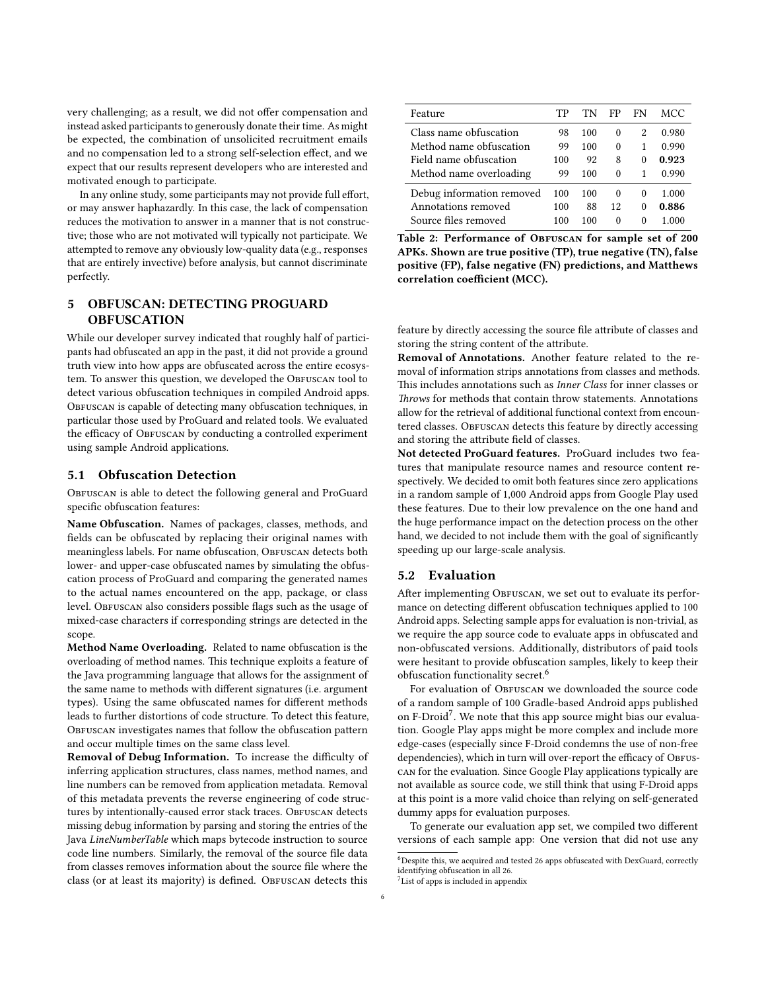very challenging; as a result, we did not offer compensation and instead asked participants to generously donate their time. As might be expected, the combination of unsolicited recruitment emails and no compensation led to a strong self-selection effect, and we expect that our results represent developers who are interested and motivated enough to participate.

In any online study, some participants may not provide full effort, or may answer haphazardly. In this case, the lack of compensation reduces the motivation to answer in a manner that is not constructive; those who are not motivated will typically not participate. We attempted to remove any obviously low-quality data (e.g., responses that are entirely invective) before analysis, but cannot discriminate perfectly.

# 5 OBFUSCAN: DETECTING PROGUARD **OBFUSCATION**

While our developer survey indicated that roughly half of participants had obfuscated an app in the past, it did not provide a ground truth view into how apps are obfuscated across the entire ecosystem. To answer this question, we developed the OBFUSCAN tool to detect various obfuscation techniques in compiled Android apps. OBFUSCAN is capable of detecting many obfuscation techniques, in particular those used by ProGuard and related tools. We evaluated the efficacy of OBFUSCAN by conducting a controlled experiment using sample Android applications.

#### 5.1 Obfuscation Detection

OBFUSCAN is able to detect the following general and ProGuard specific obfuscation features:

Name Obfuscation. Names of packages, classes, methods, and fields can be obfuscated by replacing their original names with meaningless labels. For name obfuscation, OBFUSCAN detects both lower- and upper-case obfuscated names by simulating the obfuscation process of ProGuard and comparing the generated names to the actual names encountered on the app, package, or class level. ObFUSCAN also considers possible flags such as the usage of mixed-case characters if corresponding strings are detected in the scope.

Method Name Overloading. Related to name obfuscation is the overloading of method names. This technique exploits a feature of the Java programming language that allows for the assignment of the same name to methods with different signatures (i.e. argument types). Using the same obfuscated names for different methods leads to further distortions of code structure. To detect this feature, OBFUSCAN investigates names that follow the obfuscation pattern and occur multiple times on the same class level.

Removal of Debug Information. To increase the difficulty of inferring application structures, class names, method names, and line numbers can be removed from application metadata. Removal of this metadata prevents the reverse engineering of code structures by intentionally-caused error stack traces. OBFUSCAN detects missing debug information by parsing and storing the entries of the Java LineNumberTable which maps bytecode instruction to source code line numbers. Similarly, the removal of the source file data from classes removes information about the source file where the class (or at least its majority) is defined. ObFUSCAN detects this

<span id="page-5-2"></span>

| Feature                   | TР  | TN  | FP       | FN       | MCC   |
|---------------------------|-----|-----|----------|----------|-------|
| Class name obfuscation    | 98  | 100 | 0        | 2        | 0.980 |
| Method name obfuscation   | 99  | 100 | 0        | 1        | 0.990 |
| Field name obfuscation    | 100 | 92  | 8        | $\Omega$ | 0.923 |
| Method name overloading   | 99  | 100 | 0        |          | 0.990 |
| Debug information removed | 100 | 100 | $\Omega$ | $^{0}$   | 1.000 |
| Annotations removed       | 100 | 88  | 12       | $^{0}$   | 0.886 |
| Source files removed      | 100 | 100 | $\Omega$ | 0        |       |

Table 2: Performance of OBFUSCAN for sample set of 200 APKs. Shown are true positive (TP), true negative (TN), false positive (FP), false negative (FN) predictions, and Matthews correlation coefficient (MCC).

feature by directly accessing the source file attribute of classes and storing the string content of the attribute.

Removal of Annotations. Another feature related to the removal of information strips annotations from classes and methods. This includes annotations such as Inner Class for inner classes or Throws for methods that contain throw statements. Annotations allow for the retrieval of additional functional context from encountered classes. OBFUSCAN detects this feature by directly accessing and storing the attribute field of classes.

Not detected ProGuard features. ProGuard includes two features that manipulate resource names and resource content respectively. We decided to omit both features since zero applications in a random sample of 1,000 Android apps from Google Play used these features. Due to their low prevalence on the one hand and the huge performance impact on the detection process on the other hand, we decided to not include them with the goal of significantly speeding up our large-scale analysis.

## 5.2 Evaluation

After implementing OBFUSCAN, we set out to evaluate its performance on detecting different obfuscation techniques applied to 100 Android apps. Selecting sample apps for evaluation is non-trivial, as we require the app source code to evaluate apps in obfuscated and non-obfuscated versions. Additionally, distributors of paid tools were hesitant to provide obfuscation samples, likely to keep their obfuscation functionality secret.[6](#page-5-0)

For evaluation of OBFUSCAN we downloaded the source code of a random sample of 100 Gradle-based Android apps published on F-Droid<sup>[7](#page-5-1)</sup>. We note that this app source might bias our evaluation. Google Play apps might be more complex and include more edge-cases (especially since F-Droid condemns the use of non-free dependencies), which in turn will over-report the efficacy of OBFUScan for the evaluation. Since Google Play applications typically are not available as source code, we still think that using F-Droid apps at this point is a more valid choice than relying on self-generated dummy apps for evaluation purposes.

To generate our evaluation app set, we compiled two different versions of each sample app: One version that did not use any

<span id="page-5-0"></span> $^6$ Despite this, we acquired and tested 26 apps obfuscated with DexGuard, correctly identifying obfuscation in all 26.

<span id="page-5-1"></span><sup>&</sup>lt;sup>7</sup> List of apps is included in appendix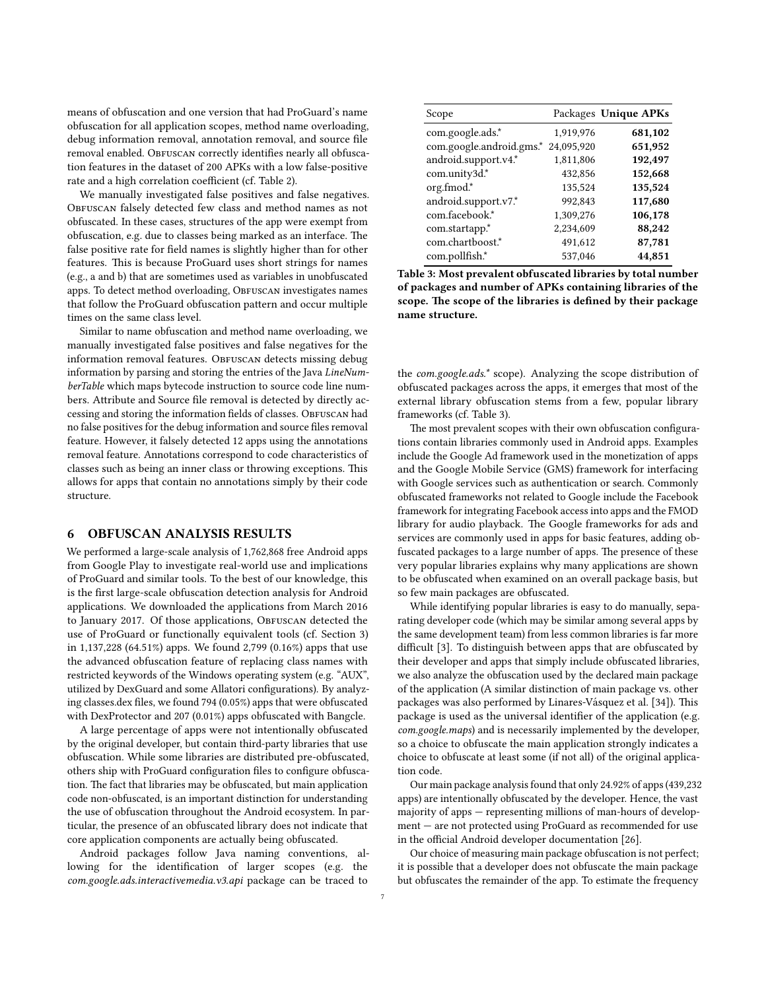means of obfuscation and one version that had ProGuard's name obfuscation for all application scopes, method name overloading, debug information removal, annotation removal, and source file removal enabled. ObFUSCAN correctly identifies nearly all obfuscation features in the dataset of 200 APKs with a low false-positive rate and a high correlation coefficient (cf. Table [2\)](#page-5-2).

We manually investigated false positives and false negatives. OBFUSCAN falsely detected few class and method names as not obfuscated. In these cases, structures of the app were exempt from obfuscation, e.g. due to classes being marked as an interface. The false positive rate for field names is slightly higher than for other features. This is because ProGuard uses short strings for names (e.g., a and b) that are sometimes used as variables in unobfuscated apps. To detect method overloading, OBFUSCAN investigates names that follow the ProGuard obfuscation pattern and occur multiple times on the same class level.

Similar to name obfuscation and method name overloading, we manually investigated false positives and false negatives for the information removal features. OBFUSCAN detects missing debug information by parsing and storing the entries of the Java LineNumberTable which maps bytecode instruction to source code line numbers. Attribute and Source file removal is detected by directly accessing and storing the information fields of classes. OBFUSCAN had no false positives for the debug information and source files removal feature. However, it falsely detected 12 apps using the annotations removal feature. Annotations correspond to code characteristics of classes such as being an inner class or throwing exceptions. This allows for apps that contain no annotations simply by their code structure.

#### <span id="page-6-1"></span>6 OBFUSCAN ANALYSIS RESULTS

We performed a large-scale analysis of 1,762,868 free Android apps from Google Play to investigate real-world use and implications of ProGuard and similar tools. To the best of our knowledge, this is the first large-scale obfuscation detection analysis for Android applications. We downloaded the applications from March 2016 to January 2017. Of those applications, OBFUSCAN detected the use of ProGuard or functionally equivalent tools (cf. Section [3\)](#page-1-0) in 1,137,228 (64.51%) apps. We found 2,799 (0.16%) apps that use the advanced obfuscation feature of replacing class names with restricted keywords of the Windows operating system (e.g. "AUX", utilized by DexGuard and some Allatori configurations). By analyzing classes.dex files, we found 794 (0.05%) apps that were obfuscated with DexProtector and 207 (0.01%) apps obfuscated with Bangcle.

A large percentage of apps were not intentionally obfuscated by the original developer, but contain third-party libraries that use obfuscation. While some libraries are distributed pre-obfuscated, others ship with ProGuard configuration files to configure obfuscation. The fact that libraries may be obfuscated, but main application code non-obfuscated, is an important distinction for understanding the use of obfuscation throughout the Android ecosystem. In particular, the presence of an obfuscated library does not indicate that core application components are actually being obfuscated.

Android packages follow Java naming conventions, allowing for the identification of larger scopes (e.g. the com.google.ads.interactivemedia.v3.api package can be traced to

<span id="page-6-0"></span>

| Scope                    |            | Packages Unique APKs |
|--------------------------|------------|----------------------|
| com.google.ads.*         | 1,919,976  | 681,102              |
| com.google.android.gms.* | 24,095,920 | 651,952              |
| android.support.v4.*     | 1,811,806  | 192,497              |
| com.unity3d.*            | 432,856    | 152,668              |
| org.fmod.*               | 135,524    | 135,524              |
| android.support.v7.*     | 992,843    | 117,680              |
| com.facebook.*           | 1,309,276  | 106,178              |
| com.startapp.*           | 2,234,609  | 88,242               |
| com.chartboost.*         | 491,612    | 87,781               |
| com.pollfish.*           | 537.046    | 44,851               |

Table 3: Most prevalent obfuscated libraries by total number of packages and number of APKs containing libraries of the scope. The scope of the libraries is defined by their package name structure.

the com.google.ads.\* scope). Analyzing the scope distribution of obfuscated packages across the apps, it emerges that most of the external library obfuscation stems from a few, popular library frameworks (cf. Table [3\)](#page-6-0).

The most prevalent scopes with their own obfuscation configurations contain libraries commonly used in Android apps. Examples include the Google Ad framework used in the monetization of apps and the Google Mobile Service (GMS) framework for interfacing with Google services such as authentication or search. Commonly obfuscated frameworks not related to Google include the Facebook framework for integrating Facebook access into apps and the FMOD library for audio playback. The Google frameworks for ads and services are commonly used in apps for basic features, adding obfuscated packages to a large number of apps. The presence of these very popular libraries explains why many applications are shown to be obfuscated when examined on an overall package basis, but so few main packages are obfuscated.

While identifying popular libraries is easy to do manually, separating developer code (which may be similar among several apps by the same development team) from less common libraries is far more difficult [\[3\]](#page-10-12). To distinguish between apps that are obfuscated by their developer and apps that simply include obfuscated libraries, we also analyze the obfuscation used by the declared main package of the application (A similar distinction of main package vs. other packages was also performed by Linares-Vásquez et al. [[34\]](#page-11-28)). This package is used as the universal identifier of the application (e.g. com.google.maps) and is necessarily implemented by the developer, so a choice to obfuscate the main application strongly indicates a choice to obfuscate at least some (if not all) of the original application code.

Our main package analysis found that only 24.92% of apps (439,232 apps) are intentionally obfuscated by the developer. Hence, the vast majority of apps — representing millions of man-hours of development — are not protected using ProGuard as recommended for use in the official Android developer documentation [\[26\]](#page-11-38).

Our choice of measuring main package obfuscation is not perfect; it is possible that a developer does not obfuscate the main package but obfuscates the remainder of the app. To estimate the frequency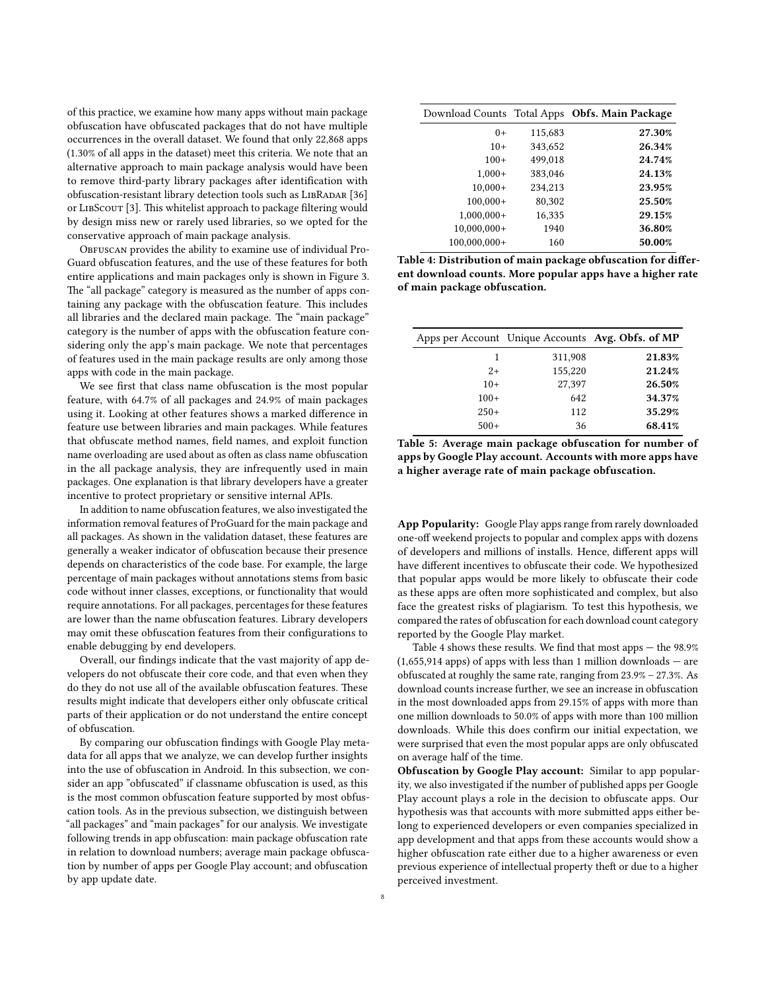of this practice, we examine how many apps without main package obfuscation have obfuscated packages that do not have multiple occurrences in the overall dataset. We found that only 22,868 apps (1.30% of all apps in the dataset) meet this criteria. We note that an alternative approach to main package analysis would have been to remove third-party library packages after identification with obfuscation-resistant library detection tools such as LIBRADAR [\[36\]](#page-11-27) or LIBSCOUT [\[3\]](#page-10-12). This whitelist approach to package filtering would by design miss new or rarely used libraries, so we opted for the conservative approach of main package analysis.

OBFUSCAN provides the ability to examine use of individual Pro-Guard obfuscation features, and the use of these features for both entire applications and main packages only is shown in Figure [3.](#page-8-1) The "all package" category is measured as the number of apps containing any package with the obfuscation feature. This includes all libraries and the declared main package. The "main package" category is the number of apps with the obfuscation feature considering only the app's main package. We note that percentages of features used in the main package results are only among those apps with code in the main package.

We see first that class name obfuscation is the most popular feature, with 64.7% of all packages and 24.9% of main packages using it. Looking at other features shows a marked difference in feature use between libraries and main packages. While features that obfuscate method names, field names, and exploit function name overloading are used about as often as class name obfuscation in the all package analysis, they are infrequently used in main packages. One explanation is that library developers have a greater incentive to protect proprietary or sensitive internal APIs.

In addition to name obfuscation features, we also investigated the information removal features of ProGuard for the main package and all packages. As shown in the validation dataset, these features are generally a weaker indicator of obfuscation because their presence depends on characteristics of the code base. For example, the large percentage of main packages without annotations stems from basic code without inner classes, exceptions, or functionality that would require annotations. For all packages, percentages for these features are lower than the name obfuscation features. Library developers may omit these obfuscation features from their configurations to enable debugging by end developers.

Overall, our findings indicate that the vast majority of app developers do not obfuscate their core code, and that even when they do they do not use all of the available obfuscation features. These results might indicate that developers either only obfuscate critical parts of their application or do not understand the entire concept of obfuscation.

By comparing our obfuscation findings with Google Play metadata for all apps that we analyze, we can develop further insights into the use of obfuscation in Android. In this subsection, we consider an app "obfuscated" if classname obfuscation is used, as this is the most common obfuscation feature supported by most obfuscation tools. As in the previous subsection, we distinguish between "all packages" and "main packages" for our analysis. We investigate following trends in app obfuscation: main package obfuscation rate in relation to download numbers; average main package obfuscation by number of apps per Google Play account; and obfuscation by app update date.

<span id="page-7-0"></span>

|                |         | Download Counts Total Apps Obfs. Main Package |
|----------------|---------|-----------------------------------------------|
| $0+$           | 115,683 | 27.30%                                        |
| $10+$          | 343,652 | 26.34%                                        |
| $100+$         | 499,018 | 24.74%                                        |
| $1,000+$       | 383,046 | 24.13%                                        |
| $10.000+$      | 234,213 | 23.95%                                        |
| $100,000+$     | 80,302  | 25.50%                                        |
| $1,000,000+$   | 16,335  | 29.15%                                        |
| $10.000.000+$  | 1940    | 36.80%                                        |
| $100,000,000+$ | 160     | 50.00%                                        |

Table 4: Distribution of main package obfuscation for different download counts. More popular apps have a higher rate of main package obfuscation.

<span id="page-7-1"></span>

|        |         | Apps per Account Unique Accounts Avg. Obfs. of MP |
|--------|---------|---------------------------------------------------|
| 1      | 311,908 | 21.83%                                            |
| $2+$   | 155,220 | 21.24%                                            |
| $10+$  | 27,397  | 26.50%                                            |
| $100+$ | 642     | 34.37%                                            |
| $250+$ | 112     | 35.29%                                            |
| $500+$ | 36      | 68.41%                                            |

Table 5: Average main package obfuscation for number of apps by Google Play account. Accounts with more apps have a higher average rate of main package obfuscation.

App Popularity: Google Play apps range from rarely downloaded one-off weekend projects to popular and complex apps with dozens of developers and millions of installs. Hence, different apps will have different incentives to obfuscate their code. We hypothesized that popular apps would be more likely to obfuscate their code as these apps are often more sophisticated and complex, but also face the greatest risks of plagiarism. To test this hypothesis, we compared the rates of obfuscation for each download count category reported by the Google Play market.

Table [4](#page-7-0) shows these results. We find that most apps  $-$  the 98.9%  $(1,655,914$  apps) of apps with less than 1 million downloads  $-$  are obfuscated at roughly the same rate, ranging from 23.9% – 27.3%. As download counts increase further, we see an increase in obfuscation in the most downloaded apps from 29.15% of apps with more than one million downloads to 50.0% of apps with more than 100 million downloads. While this does confirm our initial expectation, we were surprised that even the most popular apps are only obfuscated on average half of the time.

Obfuscation by Google Play account: Similar to app popularity, we also investigated if the number of published apps per Google Play account plays a role in the decision to obfuscate apps. Our hypothesis was that accounts with more submitted apps either belong to experienced developers or even companies specialized in app development and that apps from these accounts would show a higher obfuscation rate either due to a higher awareness or even previous experience of intellectual property theft or due to a higher perceived investment.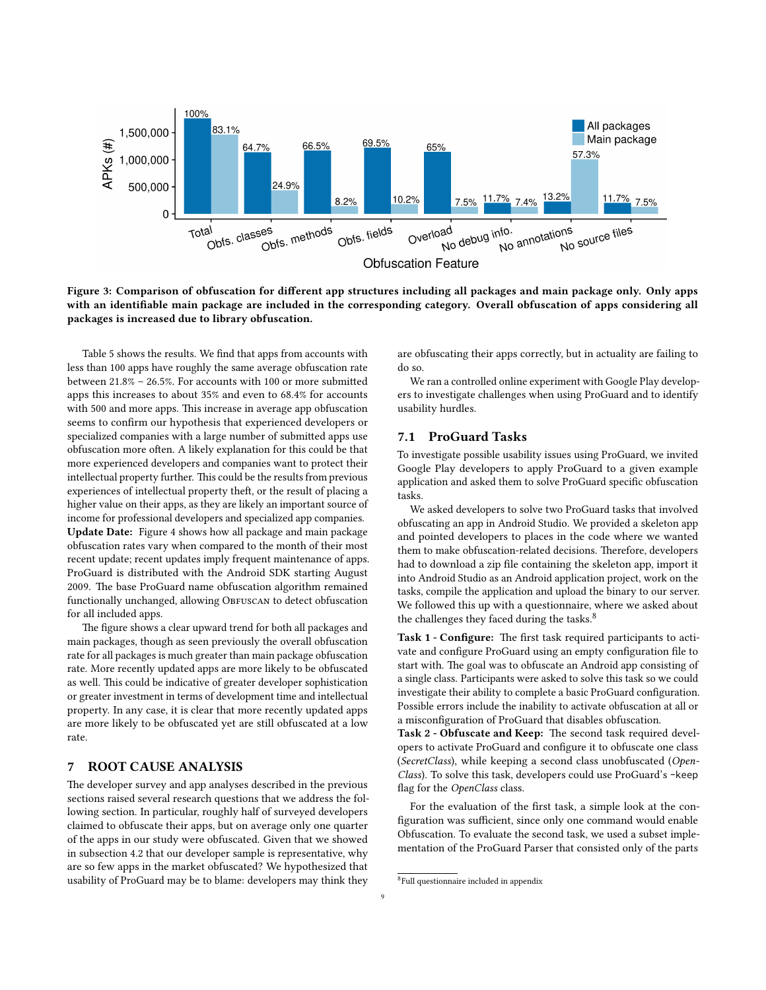<span id="page-8-1"></span>

Figure 3: Comparison of obfuscation for different app structures including all packages and main package only. Only apps with an identifiable main package are included in the corresponding category. Overall obfuscation of apps considering all packages is increased due to library obfuscation.

Table [5](#page-7-1) shows the results. We find that apps from accounts with less than 100 apps have roughly the same average obfuscation rate between  $21.8\%$  –  $26.5\%$ . For accounts with 100 or more submitted apps this increases to about 35% and even to 68.4% for accounts with 500 and more apps. This increase in average app obfuscation seems to confirm our hypothesis that experienced developers or specialized companies with a large number of submitted apps use obfuscation more often. A likely explanation for this could be that more experienced developers and companies want to protect their intellectual property further. This could be the results from previous experiences of intellectual property theft, or the result of placing a higher value on their apps, as they are likely an important source of income for professional developers and specialized app companies. Update Date: Figure [4](#page-9-0) shows how all package and main package obfuscation rates vary when compared to the month of their most recent update; recent updates imply frequent maintenance of apps. ProGuard is distributed with the Android SDK starting August 2009. The base ProGuard name obfuscation algorithm remained functionally unchanged, allowing OBFUSCAN to detect obfuscation for all included apps.

The figure shows a clear upward trend for both all packages and main packages, though as seen previously the overall obfuscation rate for all packages is much greater than main package obfuscation rate. More recently updated apps are more likely to be obfuscated as well. This could be indicative of greater developer sophistication or greater investment in terms of development time and intellectual property. In any case, it is clear that more recently updated apps are more likely to be obfuscated yet are still obfuscated at a low rate.

#### <span id="page-8-0"></span>7 ROOT CAUSE ANALYSIS

The developer survey and app analyses described in the previous sections raised several research questions that we address the following section. In particular, roughly half of surveyed developers claimed to obfuscate their apps, but on average only one quarter of the apps in our study were obfuscated. Given that we showed in subsection [4.2](#page-4-4) that our developer sample is representative, why are so few apps in the market obfuscated? We hypothesized that usability of ProGuard may be to blame: developers may think they are obfuscating their apps correctly, but in actuality are failing to do so.

We ran a controlled online experiment with Google Play developers to investigate challenges when using ProGuard and to identify usability hurdles.

## 7.1 ProGuard Tasks

To investigate possible usability issues using ProGuard, we invited Google Play developers to apply ProGuard to a given example application and asked them to solve ProGuard specific obfuscation tasks.

We asked developers to solve two ProGuard tasks that involved obfuscating an app in Android Studio. We provided a skeleton app and pointed developers to places in the code where we wanted them to make obfuscation-related decisions. Therefore, developers had to download a zip file containing the skeleton app, import it into Android Studio as an Android application project, work on the tasks, compile the application and upload the binary to our server. We followed this up with a questionnaire, where we asked about the challenges they faced during the tasks.<sup>[8](#page-8-2)</sup>

Task 1 - Configure: The first task required participants to activate and configure ProGuard using an empty configuration file to start with. The goal was to obfuscate an Android app consisting of a single class. Participants were asked to solve this task so we could investigate their ability to complete a basic ProGuard configuration. Possible errors include the inability to activate obfuscation at all or a misconfiguration of ProGuard that disables obfuscation.

Task 2 - Obfuscate and Keep: The second task required developers to activate ProGuard and configure it to obfuscate one class (SecretClass), while keeping a second class unobfuscated (Open-Class). To solve this task, developers could use ProGuard's -keep flag for the OpenClass class.

For the evaluation of the first task, a simple look at the configuration was sufficient, since only one command would enable Obfuscation. To evaluate the second task, we used a subset implementation of the ProGuard Parser that consisted only of the parts

<span id="page-8-2"></span><sup>8</sup> Full questionnaire included in appendix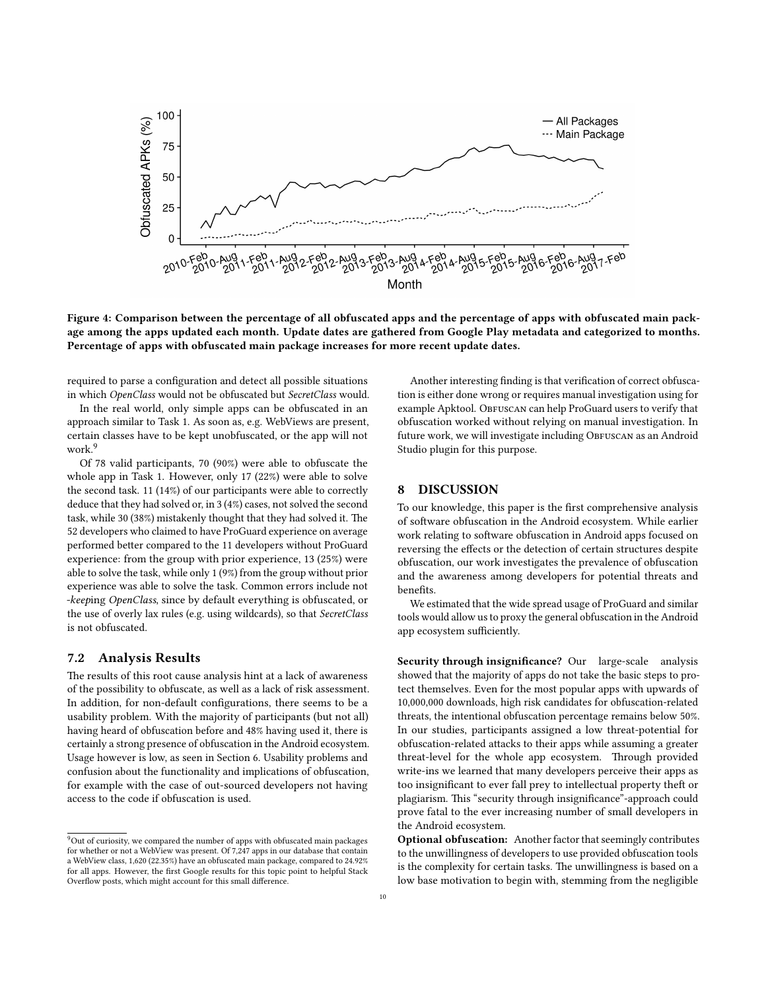<span id="page-9-0"></span>

Figure 4: Comparison between the percentage of all obfuscated apps and the percentage of apps with obfuscated main package among the apps updated each month. Update dates are gathered from Google Play metadata and categorized to months. Percentage of apps with obfuscated main package increases for more recent update dates.

required to parse a configuration and detect all possible situations in which OpenClass would not be obfuscated but SecretClass would.

In the real world, only simple apps can be obfuscated in an approach similar to Task 1. As soon as, e.g. WebViews are present, certain classes have to be kept unobfuscated, or the app will not work.<sup>[9](#page-9-1)</sup>

Of 78 valid participants, 70 (90%) were able to obfuscate the whole app in Task 1. However, only 17 (22%) were able to solve the second task. 11 (14%) of our participants were able to correctly deduce that they had solved or, in 3 (4%) cases, not solved the second task, while 30 (38%) mistakenly thought that they had solved it. The 52 developers who claimed to have ProGuard experience on average performed better compared to the 11 developers without ProGuard experience: from the group with prior experience, 13 (25%) were able to solve the task, while only 1 (9%) from the group without prior experience was able to solve the task. Common errors include not -keeping OpenClass, since by default everything is obfuscated, or the use of overly lax rules (e.g. using wildcards), so that SecretClass is not obfuscated.

#### 7.2 Analysis Results

The results of this root cause analysis hint at a lack of awareness of the possibility to obfuscate, as well as a lack of risk assessment. In addition, for non-default configurations, there seems to be a usability problem. With the majority of participants (but not all) having heard of obfuscation before and 48% having used it, there is certainly a strong presence of obfuscation in the Android ecosystem. Usage however is low, as seen in Section [6.](#page-6-1) Usability problems and confusion about the functionality and implications of obfuscation, for example with the case of out-sourced developers not having access to the code if obfuscation is used.

Another interesting finding is that verification of correct obfuscation is either done wrong or requires manual investigation using for example Apktool. OBFUSCAN can help ProGuard users to verify that obfuscation worked without relying on manual investigation. In future work, we will investigate including OBFUSCAN as an Android Studio plugin for this purpose.

## 8 DISCUSSION

To our knowledge, this paper is the first comprehensive analysis of software obfuscation in the Android ecosystem. While earlier work relating to software obfuscation in Android apps focused on reversing the effects or the detection of certain structures despite obfuscation, our work investigates the prevalence of obfuscation and the awareness among developers for potential threats and benefits.

We estimated that the wide spread usage of ProGuard and similar tools would allow us to proxy the general obfuscation in the Android app ecosystem sufficiently.

Security through insignificance? Our large-scale analysis showed that the majority of apps do not take the basic steps to protect themselves. Even for the most popular apps with upwards of 10,000,000 downloads, high risk candidates for obfuscation-related threats, the intentional obfuscation percentage remains below 50%. In our studies, participants assigned a low threat-potential for obfuscation-related attacks to their apps while assuming a greater threat-level for the whole app ecosystem. Through provided write-ins we learned that many developers perceive their apps as too insignificant to ever fall prey to intellectual property theft or plagiarism. This "security through insignificance"-approach could prove fatal to the ever increasing number of small developers in the Android ecosystem.

<span id="page-9-1"></span><sup>&</sup>lt;sup>9</sup>Out of curiosity, we compared the number of apps with obfuscated main packages for whether or not a WebView was present. Of 7,247 apps in our database that contain a WebView class, 1,620 (22.35%) have an obfuscated main package, compared to 24.92% for all apps. However, the first Google results for this topic point to helpful Stack Overflow posts, which might account for this small difference.

Optional obfuscation: Another factor that seemingly contributes to the unwillingness of developers to use provided obfuscation tools is the complexity for certain tasks. The unwillingness is based on a low base motivation to begin with, stemming from the negligible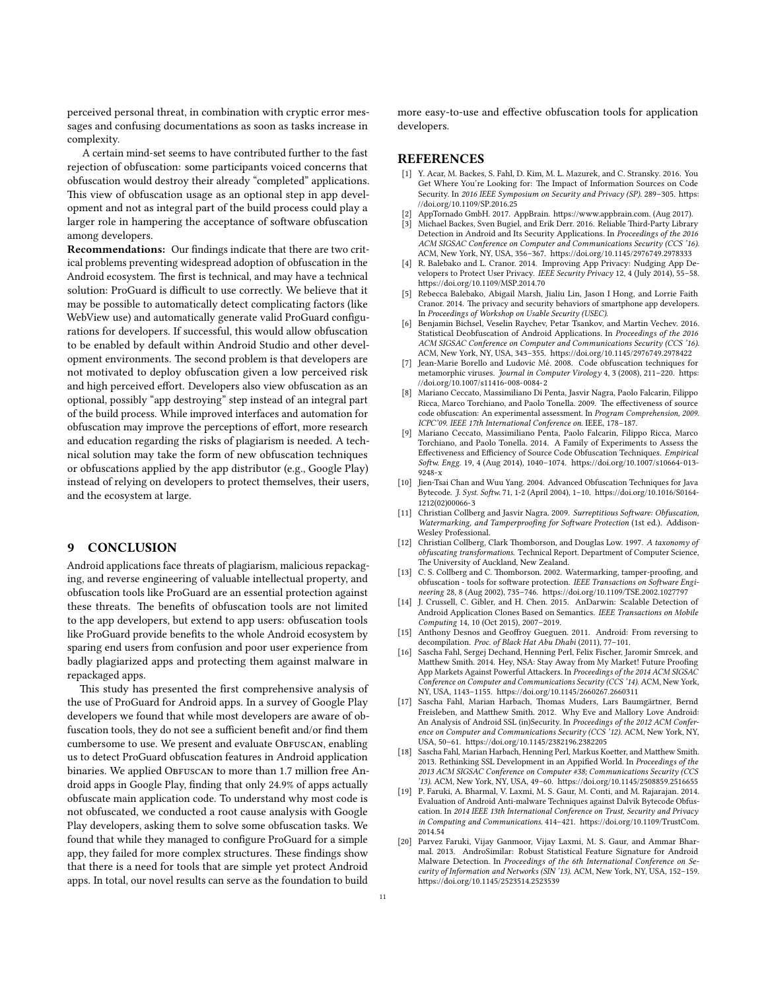perceived personal threat, in combination with cryptic error messages and confusing documentations as soon as tasks increase in complexity.

A certain mind-set seems to have contributed further to the fast rejection of obfuscation: some participants voiced concerns that obfuscation would destroy their already "completed" applications. This view of obfuscation usage as an optional step in app development and not as integral part of the build process could play a larger role in hampering the acceptance of software obfuscation among developers.

Recommendations: Our findings indicate that there are two critical problems preventing widespread adoption of obfuscation in the Android ecosystem. The first is technical, and may have a technical solution: ProGuard is difficult to use correctly. We believe that it may be possible to automatically detect complicating factors (like WebView use) and automatically generate valid ProGuard configurations for developers. If successful, this would allow obfuscation to be enabled by default within Android Studio and other development environments. The second problem is that developers are not motivated to deploy obfuscation given a low perceived risk and high perceived effort. Developers also view obfuscation as an optional, possibly "app destroying" step instead of an integral part of the build process. While improved interfaces and automation for obfuscation may improve the perceptions of effort, more research and education regarding the risks of plagiarism is needed. A technical solution may take the form of new obfuscation techniques or obfuscations applied by the app distributor (e.g., Google Play) instead of relying on developers to protect themselves, their users, and the ecosystem at large.

#### 9 CONCLUSION

Android applications face threats of plagiarism, malicious repackaging, and reverse engineering of valuable intellectual property, and obfuscation tools like ProGuard are an essential protection against these threats. The benefits of obfuscation tools are not limited to the app developers, but extend to app users: obfuscation tools like ProGuard provide benefits to the whole Android ecosystem by sparing end users from confusion and poor user experience from badly plagiarized apps and protecting them against malware in repackaged apps.

This study has presented the first comprehensive analysis of the use of ProGuard for Android apps. In a survey of Google Play developers we found that while most developers are aware of obfuscation tools, they do not see a sufficient benefit and/or find them cumbersome to use. We present and evaluate OBFUSCAN, enabling us to detect ProGuard obfuscation features in Android application binaries. We applied OBFUSCAN to more than 1.7 million free Android apps in Google Play, finding that only 24.9% of apps actually obfuscate main application code. To understand why most code is not obfuscated, we conducted a root cause analysis with Google Play developers, asking them to solve some obfuscation tasks. We found that while they managed to configure ProGuard for a simple app, they failed for more complex structures. These findings show that there is a need for tools that are simple yet protect Android apps. In total, our novel results can serve as the foundation to build

more easy-to-use and effective obfuscation tools for application developers.

## **REFERENCES**

- <span id="page-10-18"></span>[1] Y. Acar, M. Backes, S. Fahl, D. Kim, M. L. Mazurek, and C. Stransky. 2016. You Get Where You're Looking for: The Impact of Information Sources on Code Security. In 2016 IEEE Symposium on Security and Privacy (SP). 289-305. https: [//doi.org/10.1109/SP.2016.25](https://doi.org/10.1109/SP.2016.25)
- <span id="page-10-0"></span>AppTornado GmbH. 2017. AppBrain. https://www.appbrain.com. (Aug 2017).
- <span id="page-10-12"></span>Michael Backes, Sven Bugiel, and Erik Derr. 2016. Reliable Third-Party Library Detection in Android and Its Security Applications. In Proceedings of the 2016 ACM SIGSAC Conference on Computer and Communications Security (CCS '16). ACM, New York, NY, USA, 356-367. https://doi.org/10.1145/2976749.2978333
- <span id="page-10-14"></span>[4] R. Balebako and L. Cranor. 2014. Improving App Privacy: Nudging App Developers to Protect User Privacy. IEEE Security Privacy 12, 4 (July 2014), 55-58. https://doi.org/10.1109/MSP.2014.70
- <span id="page-10-15"></span>[5] Rebecca Balebako, Abigail Marsh, Jialiu Lin, Jason I Hong, and Lorrie Faith Cranor. 2014. The privacy and security behaviors of smartphone app developers. In Proceedings of Workshop on Usable Security (USEC).
- <span id="page-10-13"></span>Benjamin Bichsel, Veselin Raychev, Petar Tsankov, and Martin Vechev. 2016. Statistical Deobfuscation of Android Applications. In Proceedings of the 2016 ACM SIGSAC Conference on Computer and Communications Security (CCS '16). ACM, New York, NY, USA, 343-355. https://doi.org/10.1145/2976749.2978422
- <span id="page-10-8"></span>Jean-Marie Borello and Ludovic Mé. 2008. Code obfuscation techniques for metamorphic viruses. Journal in Computer Virology 4, 3 (2008), 211-220. https: [//doi.org/10.1007/s11416-008-0084-2](https://doi.org/10.1007/s11416-008-0084-2)
- <span id="page-10-3"></span>Mariano Ceccato, Massimiliano Di Penta, Jasvir Nagra, Paolo Falcarin, Filippo Ricca, Marco Torchiano, and Paolo Tonella, 2009. The effectiveness of source code obfuscation: An experimental assessment. In Program Comprehension, 2009. ICPC'09. IEEE 17th International Conference on. IEEE, 178–187.
- <span id="page-10-4"></span>[9] Mariano Ceccato, Massimiliano Penta, Paolo Falcarin, Filippo Ricca, Marco Torchiano, and Paolo Tonella. 2014. A Family of Experiments to Assess the Effectiveness and Efficiency of Source Code Obfuscation Techniques. Empirical Softw. Engg. 19, 4 (Aug 2014), 1040-1074. https://doi.org/10.1007/s10664-013- $9248-x$
- <span id="page-10-9"></span>[10] Jien-Tsai Chan and Wuu Yang. 2004. Advanced Obfuscation Techniques for Java Bytecode. J. Syst. Softw. 71, 1-2 (April 2004), 1-10. https://doi.org/10.1016/S0164-[1212\(02\)00066-3](https://doi.org/10.1016/S0164-1212(02)00066-3)
- <span id="page-10-5"></span>[11] Christian Collberg and Jasvir Nagra. 2009. Surreptitious Software: Obfuscation, Watermarking, and Tamperproofing for Software Protection (1st ed.). Addison-Wesley Professional.
- <span id="page-10-6"></span>[12] Christian Collberg, Clark Thomborson, and Douglas Low. 1997. A taxonomy of obfuscating transformations. Technical Report. Department of Computer Science, The University of Auckland, New Zealand.
- <span id="page-10-7"></span>[13] C. S. Collberg and C. Thomborson. 2002. Watermarking, tamper-proofing, and obfuscation - tools for software protection. IEEE Transactions on Software Engineering 28, 8 (Aug 2002), 735-746. https://doi.org/10.1109/TSE.2002.1027797
- <span id="page-10-19"></span>[14] J. Crussell, C. Gibler, and H. Chen. 2015. AnDarwin: Scalable Detection of Android Application Clones Based on Semantics. IEEE Transactions on Mobile Computing 14, 10 (Oct 2015), 2007–2019.
- <span id="page-10-1"></span>[15] Anthony Desnos and Geoffroy Gueguen. 2011. Android: From reversing to decompilation. Proc. of Black Hat Abu Dhabi (2011), 77–101.
- <span id="page-10-2"></span>[16] Sascha Fahl, Sergej Dechand, Henning Perl, Felix Fischer, Jaromir Smrcek, and Matthew Smith. 2014. Hey, NSA: Stay Away from My Market! Future Proofing App Markets Against Powerful Attackers. In Proceedings of the 2014 ACM SIGSAC Conference on Computer and Communications Security (CCS '14). ACM, New York, NY, USA, 1143-1155. https://doi.org/10.1145/2660267.2660311
- <span id="page-10-16"></span>[17] Sascha Fahl, Marian Harbach, Thomas Muders, Lars Baumgärtner, Bernd Freisleben, and Matthew Smith. 2012. Why Eve and Mallory Love Android: An Analysis of Android SSL (in)Security. In Proceedings of the 2012 ACM Conference on Computer and Communications Security (CCS '12). ACM, New York, NY, USA, 50-61. https://doi.org/10.1145/2382196.2382205
- <span id="page-10-17"></span>[18] Sascha Fahl, Marian Harbach, Henning Perl, Markus Koetter, and Matthew Smith. 2013. Rethinking SSL Development in an Appified World. In Proceedings of the 2013 ACM SIGSAC Conference on Computer #38; Communications Security (CCS '13). ACM, New York, NY, USA, 49-60. https://doi.org/10.1145/2508859.2516655
- <span id="page-10-10"></span>[19] P. Faruki, A. Bharmal, V. Laxmi, M. S. Gaur, M. Conti, and M. Rajarajan. 2014. Evaluation of Android Anti-malware Techniques against Dalvik Bytecode Obfuscation. In 2014 IEEE 13th International Conference on Trust, Security and Privacy in Computing and Communications. 414-421. https://doi.org/10.1109/TrustCom. [2014.54](https://doi.org/10.1109/TrustCom.2014.54)
- <span id="page-10-11"></span>[20] Parvez Faruki, Vijay Ganmoor, Vijay Laxmi, M. S. Gaur, and Ammar Bharmal. 2013. AndroSimilar: Robust Statistical Feature Signature for Android Malware Detection. In Proceedings of the 6th International Conference on Security of Information and Networks (SIN '13). ACM, New York, NY, USA, 152–159. https://doi.org/10.1145/2523514.2523539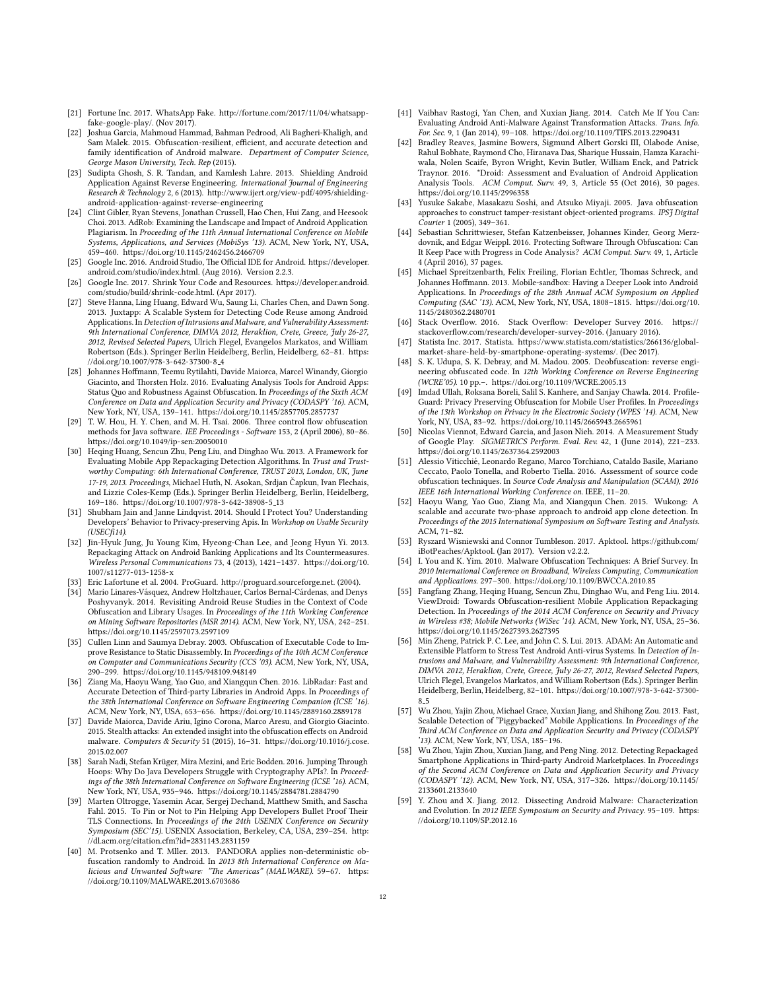- <span id="page-11-33"></span>[21] Fortune Inc. 2017. WhatsApp Fake. http://fortune.com/2017/11/04/whatsapp[fake-google-play/.](http://fortune.com/2017/11/04/whatsapp-fake-google-play/) (Nov 2017).
- <span id="page-11-24"></span>[22] Joshua Garcia, Mahmoud Hammad, Bahman Pedrood, Ali Bagheri-Khaligh, and .<br>Sam Malek. 2015. Obfuscation-resilient, efficient, and accurate detection and family identification of Android malware. Department of Computer Science, George Mason University, Tech. Rep (2015).
- <span id="page-11-19"></span>[23] Sudipta Ghosh, S. R. Tandan, and Kamlesh Lahre. 2013. Shielding Android Application Against Reverse Engineering. International Journal of Engineering Research & Technology 2, 6 (2013). http://www.ijert.org/view-pdf/4095/shielding[android-application-against-reverse-engineering](http://www.ijert.org/view-pdf/4095/shielding-android-application-against-reverse-engineering)
- <span id="page-11-2"></span>[24] Clint Gibler, Ryan Stevens, Jonathan Crussell, Hao Chen, Hui Zang, and Heesook Choi. 2013. AdRob: Examining the Landscape and Impact of Android Application Plagiarism. In Proceeding of the 11th Annual International Conference on Mobile Systems, Applications, and Services (MobiSys '13). ACM, New York, NY, USA, 459-460. https://doi.org/10.1145/2462456.2466709
- <span id="page-11-7"></span>[25] Google Inc. 2016. Android Studio, The Official IDE for Android. https://developer. [android.com/studio/index.html.](https://developer.android.com/studio/index.html) (Aug 2016). Version 2.2.3.
- <span id="page-11-38"></span>[26] Google Inc. 2017. Shrink Your Code and Resources. https://developer.android. [com/studio/build/shrink-code.html.](https://developer.android.com/studio/build/shrink-code.html) (Apr 2017).
- <span id="page-11-22"></span>[27] Steve Hanna, Ling Huang, Edward Wu, Saung Li, Charles Chen, and Dawn Song. 2013. Juxtapp: A Scalable System for Detecting Code Reuse among Android Applications. In Detection of Intrusions and Malware, and Vulnerability Assessment: 9th International Conference, DIMVA 2012, Heraklion, Crete, Greece, July 26-27, 2012, Revised Selected Papers, Ulrich Flegel, Evangelos Markatos, and William Robertson (Eds.). Springer Berlin Heidelberg, Berlin, Heidelberg, 62-81. https: [//doi.org/10.1007/978-3-642-37300-8](https://doi.org/10.1007/978-3-642-37300-8_4) 4
- <span id="page-11-15"></span>[28] Johannes Hoffmann, Teemu Rytilahti, Davide Maiorca, Marcel Winandy, Giorgio Giacinto, and Thorsten Holz. 2016. Evaluating Analysis Tools for Android Apps: Status Quo and Robustness Against Obfuscation. In Proceedings of the Sixth ACM Conference on Data and Application Security and Privacy (CODASPY '16). ACM, New York, NY, USA, 139-141. https://doi.org/10.1145/2857705.2857737
- <span id="page-11-17"></span>[29] T. W. Hou, H. Y. Chen, and M. H. Tsai. 2006. Three control flow obfuscation methods for Java software. IEE Proceedings - Software 153, 2 (April 2006), 80–86. https://doi.org/10.1049/ip-sen:20050010
- <span id="page-11-14"></span>[30] Heqing Huang, Sencun Zhu, Peng Liu, and Dinghao Wu. 2013. A Framework for Evaluating Mobile App Repackaging Detection Algorithms. In Trust and Trustworthy Computing: 6th International Conference, TRUST 2013, London, UK, June 17-19, 2013. Proceedings, Michael Huth, N. Asokan, Srdian Čapkun, Ivan Flechais, and Lizzie Coles-Kemp (Eds.). Springer Berlin Heidelberg, Berlin, Heidelberg, 169-186. https://doi.org/10.1007/978-3-642-38908-5 13
- <span id="page-11-30"></span>[31] Shubham Jain and Janne Lindqvist. 2014. Should I Protect You? Understanding Developers' Behavior to Privacy-preserving Apis. In Workshop on Usable Security  $(USECfi14)$ .
- <span id="page-11-20"></span>[32] Jin-Hyuk Jung, Ju Young Kim, Hyeong-Chan Lee, and Jeong Hyun Yi. 2013. Repackaging Attack on Android Banking Applications and Its Countermeasures. Wireless Personal Communications 73, 4 (2013), 1421-1437. https://doi.org/10. [1007/s11277-013-1258-x](https://doi.org/10.1007/s11277-013-1258-x)
- <span id="page-11-8"></span> $\left[ 33\right]$  Eric Lafortune et al. 2004. ProGuard. http://proguard.sourceforge.net. (2004).
- <span id="page-11-28"></span>[34] Mario Linares-Vásquez, Andrew Holtzhauer, Carlos Bernal-Cárdenas, and Denys Poshyvanyk. 2014. Revisiting Android Reuse Studies in the Context of Code Obfuscation and Library Usages. In Proceedings of the 11th Working Conference on Mining Software Repositories (MSR 2014). ACM, New York, NY, USA, 242-251. [hps://doi.org/10.1145/2597073.2597109](https://doi.org/10.1145/2597073.2597109)
- <span id="page-11-25"></span>[35] Cullen Linn and Saumya Debray. 2003. Obfuscation of Executable Code to Improve Resistance to Static Disassembly. In Proceedings of the 10th ACM Conference on Computer and Communications Security (CCS '03). ACM, New York, NY, USA, 290-299. https://doi.org/10.1145/948109.948149
- <span id="page-11-27"></span>[36] Ziang Ma, Haoyu Wang, Yao Guo, and Xiangqun Chen. 2016. LibRadar: Fast and Accurate Detection of Third-party Libraries in Android Apps. In Proceedings of the 38th International Conference on Software Engineering Companion (ICSE '16). ACM, New York, NY, USA, 653-656. https://doi.org/10.1145/2889160.2889178
- <span id="page-11-16"></span>[37] Davide Maiorca, Davide Ariu, Igino Corona, Marco Aresu, and Giorgio Giacinto. 2015. Stealth attacks: An extended insight into the obfuscation effects on Android malware. Computers & Security 51 (2015), 16-31. https://doi.org/10.1016/j.cose. [2015.02.007](https://doi.org/10.1016/j.cose.2015.02.007)
- <span id="page-11-32"></span>[38] Sarah Nadi, Stefan Krüger, Mira Mezini, and Eric Bodden. 2016. Jumping Through Hoops: Why Do Java Developers Struggle with Cryptography APIs?. In Proceedings of the 38th International Conference on Software Engineering (ICSE '16). ACM, New York, NY, USA, 935-946. https://doi.org/10.1145/2884781.2884790
- <span id="page-11-31"></span>[39] Marten Oltrogge, Yasemin Acar, Sergej Dechand, Matthew Smith, and Sascha Fahl. 2015. To Pin or Not to Pin Helping App Developers Bullet Proof Their TLS Connections. In Proceedings of the 24th USENIX Conference on Security Symposium (SEC'15). USENIX Association, Berkeley, CA, USA, 239-254. http: [//dl.acm.org/citation.cfm?id=2831143.2831159](http://dl.acm.org/citation.cfm?id=2831143.2831159)
- <span id="page-11-11"></span>[40] M. Protsenko and T. Mller. 2013. PANDORA applies non-deterministic obfuscation randomly to Android. In 2013 8th International Conference on Malicious and Unwanted Software: "The Americas" (MALWARE). 59-67. https: [//doi.org/10.1109/MALWARE.2013.6703686](https://doi.org/10.1109/MALWARE.2013.6703686)
- <span id="page-11-12"></span>[41] Vaibhav Rastogi, Yan Chen, and Xuxian Jiang. 2014. Catch Me If You Can: Evaluating Android Anti-Malware Against Transformation Attacks. Trans. Info. For. Sec. 9, 1 (Jan 2014), 99-108. https://doi.org/10.1109/TIFS.2013.2290431
- <span id="page-11-21"></span>Bradley Reaves, Jasmine Bowers, Sigmund Albert Gorski III, Olabode Anise, Rahul Bobhate, Raymond Cho, Hiranava Das, Sharique Hussain, Hamza Karachiwala, Nolen Scaife, Byron Wright, Kevin Butler, William Enck, and Patrick Traynor. 2016. \*Droid: Assessment and Evaluation of Android Application Analysis Tools. ACM Comput. Surv. 49, 3, Article 55 (Oct 2016), 30 pages. https://doi.org/10.1145/2996358
- <span id="page-11-18"></span>[43] Yusuke Sakabe, Masakazu Soshi, and Atsuko Miyaji. 2005. Java obfuscation approaches to construct tamper-resistant object-oriented programs. IPSJ Digital Courier 1 (2005), 349–361.
- <span id="page-11-36"></span>[44] Sebastian Schriwieser, Stefan Katzenbeisser, Johannes Kinder, Georg Merzdovnik, and Edgar Weippl. 2016. Protecting Software Through Obfuscation: Can It Keep Pace with Progress in Code Analysis? ACM Comput. Surv. 49, 1, Article 4 (April 2016), 37 pages.
- <span id="page-11-26"></span>[45] Michael Spreitzenbarth, Felix Freiling, Florian Echtler, Thomas Schreck, and Johannes Hoffmann. 2013. Mobile-sandbox: Having a Deeper Look into Android Applications. In Proceedings of the 28th Annual ACM Symposium on Applied Computing (SAC '13). ACM, New York, NY, USA, 1808-1815. https://doi.org/10. [1145/2480362.2480701](https://doi.org/10.1145/2480362.2480701)
- <span id="page-11-1"></span>[46] Stack Overflow. 2016. Stack Overflow: Developer Survey 2016. https:// stackoverflow.com/research/developer-survey-2016. (January 2016).
- <span id="page-11-0"></span>[47] Statista Inc. 2017. Statista. https://www.statista.com/statistics/266136/global[market-share-held-by-smartphone-operating-systems/.](https://www.statista.com/statistics/266136/global-market-share-held-by-smartphone-operating-systems/) (Dec 2017).
- <span id="page-11-29"></span>[48] S. K. Udupa, S. K. Debray, and M. Madou. 2005. Deobfuscation: reverse engineering obfuscated code. In 12th Working Conference on Reverse Engineering (WCRE'05). 10 pp.-. https://doi.org/10.1109/WCRE.2005.13
- <span id="page-11-10"></span>[49] Imdad Ullah, Roksana Boreli, Salil S. Kanhere, and Sanjay Chawla. 2014. Profile-Guard: Privacy Preserving Obfuscation for Mobile User Profiles. In Proceedings of the 13th Workshop on Privacy in the Electronic Society (WPES '14). ACM, New York, NY, USA, 83-92. https://doi.org/10.1145/2665943.2665961
- <span id="page-11-35"></span>[50] Nicolas Viennot, Edward Garcia, and Jason Nieh. 2014. A Measurement Study of Google Play. SIGMETRICS Perform. Eval. Rev. 42, 1 (June 2014), 221–233. [hps://doi.org/10.1145/2637364.2592003](https://doi.org/10.1145/2637364.2592003)
- <span id="page-11-6"></span>[51] Alessio Viticchie, Leonardo Regano, Marco Torchiano, Cataldo Basile, Mariano ´ Ceccato, Paolo Tonella, and Roberto Tiella. 2016. Assessment of source code obfuscation techniques. In Source Code Analysis and Manipulation (SCAM), 2016 IEEE 16th International Working Conference on. IEEE, 11–20.
- <span id="page-11-3"></span>[52] Haoyu Wang, Yao Guo, Ziang Ma, and Xiangqun Chen. 2015. Wukong: A scalable and accurate two-phase approach to android app clone detection. In Proceedings of the 2015 International Symposium on Software Testing and Analysis. ACM, 71–82.
- <span id="page-11-37"></span>[53] Ryszard Wisniewski and Connor Tumbleson. 2017. Apktool. https://github.com/ [iBotPeaches/Apktool.](https://github.com/iBotPeaches/Apktool) (Jan 2017). Version v2.2.2.
- <span id="page-11-9"></span>[54] I. You and K. Yim. 2010. Malware Obfuscation Techniques: A Brief Survey. In 2010 International Conference on Broadband, Wireless Computing, Communication and Applications. 297-300. https://doi.org/10.1109/BWCCA.2010.85
- <span id="page-11-23"></span>[55] Fangfang Zhang, Heqing Huang, Sencun Zhu, Dinghao Wu, and Peng Liu. 2014. ViewDroid: Towards Obfuscation-resilient Mobile Application Repackaging Detection. In Proceedings of the 2014 ACM Conference on Security and Privacy in Wireless #38; Mobile Networks (WiSec '14). ACM, New York, NY, USA, 25–36. https://doi.org/10.1145/2627393.2627395
- <span id="page-11-13"></span>[56] Min Zheng, Patrick P. C. Lee, and John C. S. Lui. 2013. ADAM: An Automatic and Extensible Platform to Stress Test Android Anti-virus Systems. In Detection of Intrusions and Malware, and Vulnerability Assessment: 9th International Conference, DIMVA 2012, Heraklion, Crete, Greece, July 26-27, 2012, Revised Selected Papers, Ulrich Flegel, Evangelos Markatos, and William Robertson (Eds.). Springer Berlin Heidelberg, Berlin, Heidelberg, 82-101. https://doi.org/10.1007/978-3-642-37300-[8](https://doi.org/10.1007/978-3-642-37300-8_5) 5
- <span id="page-11-34"></span>[57] Wu Zhou, Yajin Zhou, Michael Grace, Xuxian Jiang, and Shihong Zou. 2013. Fast, Scalable Detection of "Piggybacked" Mobile Applications. In Proceedings of the Third ACM Conference on Data and Application Security and Privacy (CODASPY '13). ACM, New York, NY, USA, 185–196.
- <span id="page-11-4"></span>[58] Wu Zhou, Yajin Zhou, Xuxian Jiang, and Peng Ning. 2012. Detecting Repackaged Smartphone Applications in Third-party Android Marketplaces. In Proceedings of the Second ACM Conference on Data and Application Security and Privacy (CODASPY '12). ACM, New York, NY, USA, 317-326. https://doi.org/10.1145/ [2133601.2133640](https://doi.org/10.1145/2133601.2133640)
- <span id="page-11-5"></span>[59] Y. Zhou and X. Jiang. 2012. Dissecting Android Malware: Characterization and Evolution. In 2012 IEEE Symposium on Security and Privacy. 95-109. https: [//doi.org/10.1109/SP.2012.16](https://doi.org/10.1109/SP.2012.16)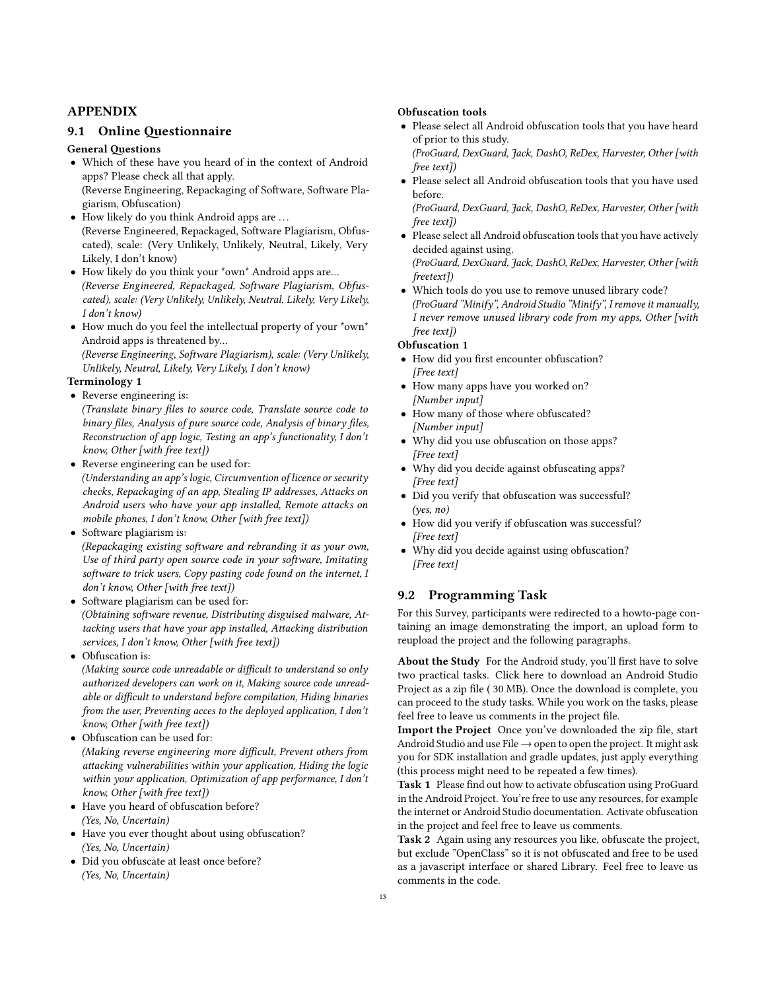## APPENDIX

#### 9.1 Online Questionnaire

#### **General Ouestions**

- Which of these have you heard of in the context of Android apps? Please check all that apply. (Reverse Engineering, Repackaging of Software, Software Plagiarism, Obfuscation)
- How likely do you think Android apps are ... (Reverse Engineered, Repackaged, Software Plagiarism, Obfuscated), scale: (Very Unlikely, Unlikely, Neutral, Likely, Very Likely, I don't know)
- How likely do you think your \*own\* Android apps are… (Reverse Engineered, Repackaged, Software Plagiarism, Obfuscated), scale: (Very Unlikely, Unlikely, Neutral, Likely, Very Likely, I don't know)
- How much do you feel the intellectual property of your \*own\* Android apps is threatened by… (Reverse Engineering, Software Plagiarism), scale: (Very Unlikely,

Unlikely, Neutral, Likely, Very Likely, I don't know)

## Terminology 1

• Reverse engineering is: (Translate binary files to source code, Translate source code to binary files, Analysis of pure source code, Analysis of binary files, Reconstruction of app logic, Testing an app's functionality, I don't know, Other [with free text])

• Reverse engineering can be used for:

(Understanding an app's logic, Circumvention of licence or security checks, Repackaging of an app, Stealing IP addresses, Attacks on Android users who have your app installed, Remote attacks on mobile phones, I don't know, Other [with free text])

- Software plagiarism is: (Repackaging existing software and rebranding it as your own, Use of third party open source code in your software, Imitating software to trick users, Copy pasting code found on the internet, I don't know, Other [with free text])
- Software plagiarism can be used for: (Obtaining software revenue, Distributing disguised malware, Attacking users that have your app installed, Attacking distribution services, I don't know, Other [with free text])
- Obfuscation is:

(Making source code unreadable or difficult to understand so only authorized developers can work on it, Making source code unreadable or difficult to understand before compilation, Hiding binaries from the user, Preventing acces to the deployed application, I don't know, Other [with free text])

• Obfuscation can be used for:

(Making reverse engineering more difficult, Prevent others from attacking vulnerabilities within your application, Hiding the logic within your application, Optimization of app performance, I don't know, Other [with free text])

- Have you heard of obfuscation before? (Yes, No, Uncertain)
- Have you ever thought about using obfuscation? (Yes, No, Uncertain)
- Did you obfuscate at least once before? (Yes, No, Uncertain)

#### Obfuscation tools

- Please select all Android obfuscation tools that you have heard of prior to this study. (ProGuard, DexGuard, Jack, DashO, ReDex, Harvester, Other [with
- free text]) • Please select all Android obfuscation tools that you have used before.

(ProGuard, DexGuard, Jack, DashO, ReDex, Harvester, Other [with free text])

- Please select all Android obfuscation tools that you have actively decided against using. (ProGuard, DexGuard, Jack, DashO, ReDex, Harvester, Other [with freetext])
- Which tools do you use to remove unused library code? (ProGuard "Minify", Android Studio "Minify", I remove it manually, I never remove unused library code from my apps, Other [with free text])

#### Obfuscation 1

- How did you first encounter obfuscation? [Free text]
- How many apps have you worked on? [Number input]
- How many of those where obfuscated? [Number input]
- Why did you use obfuscation on those apps? [Free text]
- Why did you decide against obfuscating apps? [Free text]
- Did you verify that obfuscation was successful? (yes, no)
- How did you verify if obfuscation was successful? [Free text]
- Why did you decide against using obfuscation? [Free text]

## 9.2 Programming Task

For this Survey, participants were redirected to a howto-page containing an image demonstrating the import, an upload form to reupload the project and the following paragraphs.

About the Study For the Android study, you'll first have to solve two practical tasks. Click here to download an Android Studio Project as a zip file (30 MB). Once the download is complete, you can proceed to the study tasks. While you work on the tasks, please feel free to leave us comments in the project file.

Import the Project Once you've downloaded the zip file, start Android Studio and use File  $\rightarrow$  open to open the project. It might ask you for SDK installation and gradle updates, just apply everything (this process might need to be repeated a few times).

Task 1 Please find out how to activate obfuscation using ProGuard in the Android Project. You're free to use any resources, for example the internet or Android Studio documentation. Activate obfuscation in the project and feel free to leave us comments.

Task 2 Again using any resources you like, obfuscate the project, but exclude "OpenClass" so it is not obfuscated and free to be used as a javascript interface or shared Library. Feel free to leave us comments in the code.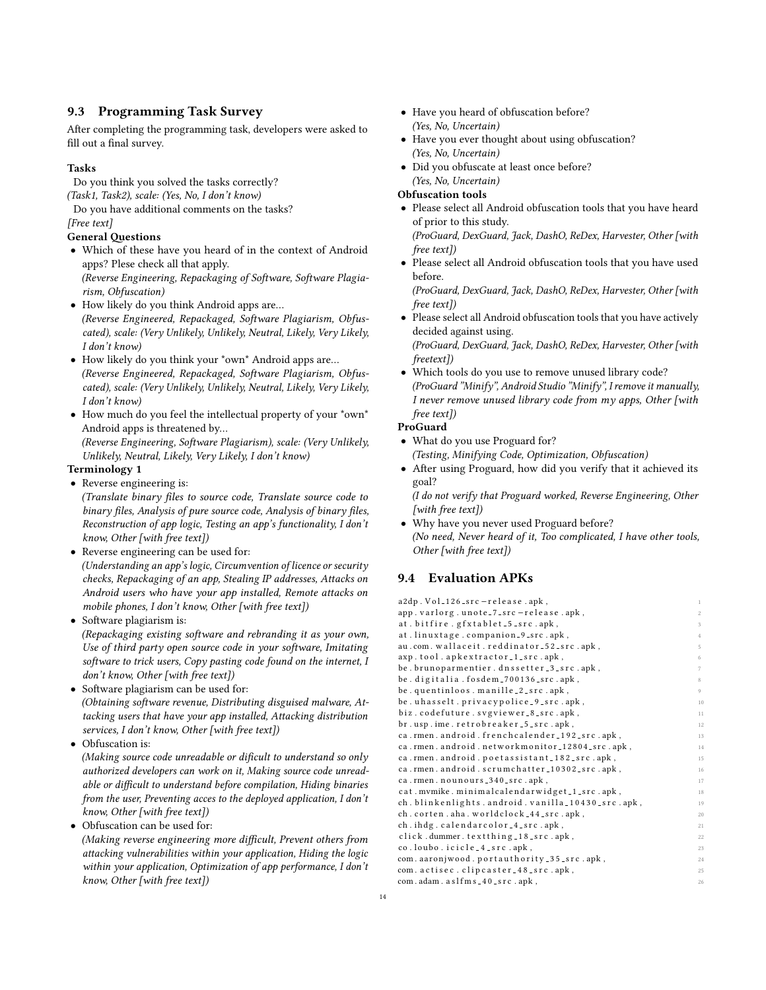## 9.3 Programming Task Survey

After completing the programming task, developers were asked to fill out a final survey.

#### Tasks

Do you think you solved the tasks correctly? (Task1, Task2), scale: (Yes, No, I don't know)

Do you have additional comments on the tasks? [Free text]

#### **General Ouestions**

- Which of these have you heard of in the context of Android apps? Plese check all that apply. (Reverse Engineering, Repackaging of Software, Software Plagiarism, Obfuscation)
- How likely do you think Android apps are… (Reverse Engineered, Repackaged, Software Plagiarism, Obfuscated), scale: (Very Unlikely, Unlikely, Neutral, Likely, Very Likely, I don't know)
- How likely do you think your \*own\* Android apps are... (Reverse Engineered, Repackaged, Software Plagiarism, Obfuscated), scale: (Very Unlikely, Unlikely, Neutral, Likely, Very Likely, I don't know)
- How much do you feel the intellectual property of your \*own\* Android apps is threatened by…

(Reverse Engineering, Software Plagiarism), scale: (Very Unlikely, Unlikely, Neutral, Likely, Very Likely, I don't know)

## Terminology 1

• Reverse engineering is:

(Translate binary files to source code, Translate source code to binary files, Analysis of pure source code, Analysis of binary files, Reconstruction of app logic, Testing an app's functionality, I don't know, Other [with free text])

• Reverse engineering can be used for:

(Understanding an app's logic, Circumvention of licence or security checks, Repackaging of an app, Stealing IP addresses, Attacks on Android users who have your app installed, Remote attacks on mobile phones, I don't know, Other [with free text])

• Software plagiarism is:

(Repackaging existing software and rebranding it as your own, Use of third party open source code in your software, Imitating software to trick users, Copy pasting code found on the internet, I don't know, Other [with free text])

• Software plagiarism can be used for: (Obtaining software revenue, Distributing disguised malware, Attacking users that have your app installed, Attacking distribution services, I don't know, Other [with free text])

• Obfuscation is:

(Making source code unreadable or dificult to understand so only authorized developers can work on it, Making source code unreadable or difficult to understand before compilation, Hiding binaries from the user, Preventing acces to the deployed application, I don't know, Other [with free text])

• Obfuscation can be used for:

(Making reverse engineering more difficult, Prevent others from attacking vulnerabilities within your application, Hiding the logic within your application, Optimization of app performance, I don't know, Other [with free text])

- Have you heard of obfuscation before? (Yes, No, Uncertain)
- Have you ever thought about using obfuscation? (Yes, No, Uncertain)
- Did you obfuscate at least once before?

#### (Yes, No, Uncertain) Obfuscation tools

- Please select all Android obfuscation tools that you have heard of prior to this study. (ProGuard, DexGuard, Jack, DashO, ReDex, Harvester, Other [with
- free text]) • Please select all Android obfuscation tools that you have used before.

(ProGuard, DexGuard, Jack, DashO, ReDex, Harvester, Other [with free text])

- Please select all Android obfuscation tools that you have actively decided against using. (ProGuard, DexGuard, Jack, DashO, ReDex, Harvester, Other [with
- freetext]) • Which tools do you use to remove unused library code? (ProGuard "Minify", Android Studio "Minify", I remove it manually, I never remove unused library code from my apps, Other [with free text])

#### ProGuard

- What do you use Proguard for? (Testing, Minifying Code, Optimization, Obfuscation)
- After using Proguard, how did you verify that it achieved its goal?

(I do not verify that Proguard worked, Reverse Engineering, Other [with free text])

• Why have you never used Proguard before? (No need, Never heard of it, Too complicated, I have other tools, Other [with free text])

# 9.4 Evaluation APKs

| a2dp. Vol_126_src-release.apk,                     | $\mathbf{1}$   |
|----------------------------------------------------|----------------|
| app. varlorg.unote_7_src-release.apk,              | $\mathbf{2}$   |
| at.bitfire.gfxtablet_5_src.apk,                    | 3              |
| at.linuxtage.companion_9_src.apk,                  | $\overline{4}$ |
| au.com.wallaceit.reddinator_52_src.apk,            | 5              |
| axp.tool.apkextractor_1_src.apk,                   | 6              |
| be.brunoparmentier.dnssetter_3_src.apk,            | 7              |
| be.digitalia.fosdem_700136_src.apk,                | 8              |
| be.quentinloos.manille_2_src.apk,                  | 9              |
| be.uhasselt.privacypolice_9_src.apk,               | 10             |
| biz.codefuture.svgviewer_8_src.apk,                | 11             |
| br.usp.ime.retrobreaker_5_src.apk,                 | 12             |
| ca.rmen.android.frenchcalender_192_src.apk,        | 13             |
| ca.rmen.android.networkmonitor_12804_src.apk,      | 14             |
| ca.rmen.android.poetassistant_182_src.apk,         | 15             |
| ca.rmen.android.scrumchatter_10302_src.apk,        | 16             |
| ca.rmen.nounours_340_src.apk,                      | 17             |
| cat.mvmike.minimalcalendarwidget_1_src.apk,        | 18             |
| ch. blinkenlights. android. vanilla_10430_src.apk, | 19             |
| ch.corten.aha.worldclock_44_src.apk,               | 20             |
| ch.ihdg.calendarcolor_4_src.apk,                   | 21             |
| click.dummer.textthing_18_src.apk,                 | 22             |
| co.loubo.icicle_4_src.apk,                         | 23             |
| com.aaronjwood.portauthority_35_src.apk,           | 24             |
| com. actisec. clipcaster_48_src.apk,               | 25             |
| com.adam.aslfms_40_src.apk,                        | 26             |